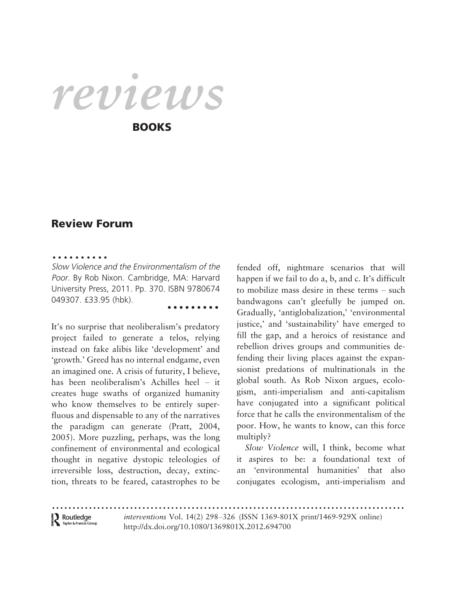# reviews

**BOOKS** 

# Review Forum

#### ..........

Slow Violence and the Environmentalism of the Poor. By Rob Nixon. Cambridge, MA: Harvard University Press, 2011. Pp. 370. ISBN 9780674 049307. £33.95 (hbk). . . . . . . . . . . . .

It's no surprise that neoliberalism's predatory project failed to generate a telos, relying instead on fake alibis like 'development' and 'growth.' Greed has no internal endgame, even an imagined one. A crisis of futurity, I believe, has been neoliberalism's Achilles heel - it creates huge swaths of organized humanity who know themselves to be entirely superfluous and dispensable to any of the narratives the paradigm can generate (Pratt, 2004, 2005). More puzzling, perhaps, was the long confinement of environmental and ecological thought in negative dystopic teleologies of irreversible loss, destruction, decay, extinction, threats to be feared, catastrophes to be fended off, nightmare scenarios that will happen if we fail to do a, b, and c. It's difficult to mobilize mass desire in these terms  $-$  such bandwagons can't gleefully be jumped on. Gradually, 'antiglobalization,' 'environmental justice,' and 'sustainability' have emerged to fill the gap, and a heroics of resistance and rebellion drives groups and communities defending their living places against the expansionist predations of multinationals in the global south. As Rob Nixon argues, ecologism, anti-imperialism and anti-capitalism have conjugated into a significant political force that he calls the environmentalism of the poor. How, he wants to know, can this force multiply?

Slow Violence will, I think, become what it aspires to be: a foundational text of an 'environmental humanities' that also conjugates ecologism, anti-imperialism and

...................................................................................... interventions Vol. 14(2) 298-326 (ISSN 1369-801X print/1469-929X online) <http://dx.doi.org/10.1080/1369801X.2012.694700>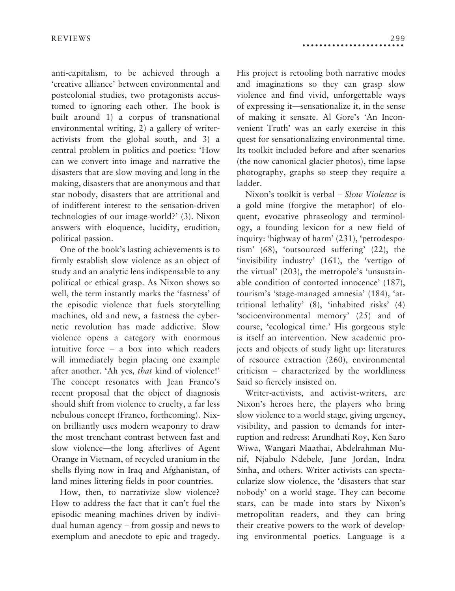anti-capitalism, to be achieved through a 'creative alliance' between environmental and postcolonial studies, two protagonists accustomed to ignoring each other. The book is built around 1) a corpus of transnational environmental writing, 2) a gallery of writeractivists from the global south, and 3) a central problem in politics and poetics: 'How can we convert into image and narrative the disasters that are slow moving and long in the making, disasters that are anonymous and that star nobody, disasters that are attritional and of indifferent interest to the sensation-driven technologies of our image-world?' (3). Nixon answers with eloquence, lucidity, erudition, political passion.

One of the book's lasting achievements is to firmly establish slow violence as an object of study and an analytic lens indispensable to any political or ethical grasp. As Nixon shows so well, the term instantly marks the 'fastness' of the episodic violence that fuels storytelling machines, old and new, a fastness the cybernetic revolution has made addictive. Slow violence opens a category with enormous intuitive force  $-$  a box into which readers will immediately begin placing one example after another. 'Ah yes, that kind of violence!' The concept resonates with Jean Franco's recent proposal that the object of diagnosis should shift from violence to cruelty, a far less nebulous concept (Franco, forthcoming). Nixon brilliantly uses modern weaponry to draw the most trenchant contrast between fast and slow violence—the long afterlives of Agent Orange in Vietnam, of recycled uranium in the shells flying now in Iraq and Afghanistan, of land mines littering fields in poor countries.

How, then, to narrativize slow violence? How to address the fact that it can't fuel the episodic meaning machines driven by individual human agency  $-$  from gossip and news to exemplum and anecdote to epic and tragedy. His project is retooling both narrative modes and imaginations so they can grasp slow violence and find vivid, unforgettable ways of expressing it—sensationalize it, in the sense of making it sensate. Al Gore's 'An Inconvenient Truth' was an early exercise in this quest for sensationalizing environmental time. Its toolkit included before and after scenarios (the now canonical glacier photos), time lapse photography, graphs so steep they require a ladder.

Nixon's toolkit is verbal  $-Slow$  Violence is a gold mine (forgive the metaphor) of eloquent, evocative phraseology and terminology, a founding lexicon for a new field of inquiry: 'highway of harm' (231), 'petrodespotism' (68), 'outsourced suffering' (22), the 'invisibility industry' (161), the 'vertigo of the virtual' (203), the metropole's 'unsustainable condition of contorted innocence' (187), tourism's 'stage-managed amnesia' (184), 'attritional lethality' (8), 'inhabited risks' (4) 'socioenvironmental memory' (25) and of course, 'ecological time.' His gorgeous style is itself an intervention. New academic projects and objects of study light up: literatures of resource extraction (260), environmental  $criterion - characterized by the worldlines$ Said so fiercely insisted on.

Writer-activists, and activist-writers, are Nixon's heroes here, the players who bring slow violence to a world stage, giving urgency, visibility, and passion to demands for interruption and redress: Arundhati Roy, Ken Saro Wiwa, Wangari Maathai, Abdelrahman Munif, Njabulo Ndebele, June Jordan, Indra Sinha, and others. Writer activists can spectacularize slow violence, the 'disasters that star nobody' on a world stage. They can become stars, can be made into stars by Nixon's metropolitan readers, and they can bring their creative powers to the work of developing environmental poetics. Language is a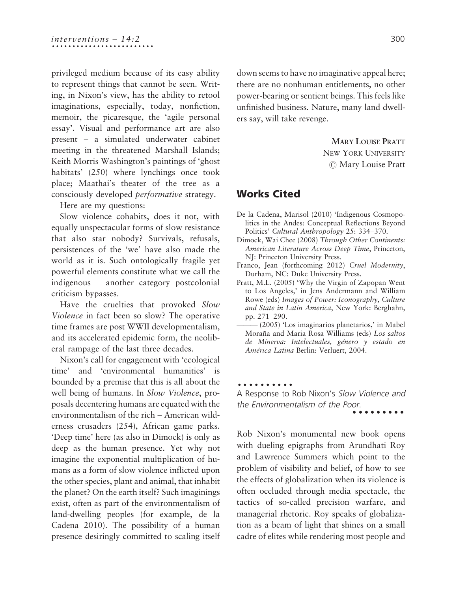privileged medium because of its easy ability to represent things that cannot be seen. Writing, in Nixon's view, has the ability to retool imaginations, especially, today, nonfiction, memoir, the picaresque, the 'agile personal essay'. Visual and performance art are also present  $-$  a simulated underwater cabinet meeting in the threatened Marshall Islands; Keith Morris Washington's paintings of 'ghost habitats' (250) where lynchings once took place; Maathai's theater of the tree as a consciously developed performative strategy.

Here are my questions:

Slow violence cohabits, does it not, with equally unspectacular forms of slow resistance that also star nobody? Survivals, refusals, persistences of the 'we' have also made the world as it is. Such ontologically fragile yet powerful elements constitute what we call the indigenous - another category postcolonial criticism bypasses.

Have the cruelties that provoked Slow Violence in fact been so slow? The operative time frames are post WWII developmentalism, and its accelerated epidemic form, the neoliberal rampage of the last three decades.

Nixon's call for engagement with 'ecological time' and 'environmental humanities' is bounded by a premise that this is all about the well being of humans. In Slow Violence, proposals decentering humans are equated with the environmentalism of the rich - American wilderness crusaders (254), African game parks. 'Deep time' here (as also in Dimock) is only as deep as the human presence. Yet why not imagine the exponential multiplication of humans as a form of slow violence inflicted upon the other species, plant and animal, that inhabit the planet? On the earth itself? Such imaginings exist, often as part of the environmentalism of land-dwelling peoples (for example, de la Cadena 2010). The possibility of a human presence desiringly committed to scaling itself down seems to have no imaginative appeal here; there are no nonhuman entitlements, no other power-bearing or sentient beings. This feels like unfinished business. Nature, many land dwellers say, will take revenge.

> MARY LOUISE PRATT NEW YORK UNIVERSITY  $\odot$  Mary Louise Pratt

# Works Cited

- De la Cadena, Marisol (2010) 'Indigenous Cosmopolitics in the Andes: Conceptual Reflections Beyond Politics' Cultural Anthropology 25: 334-370.
- Dimock, Wai Chee (2008) Through Other Continents: American Literature Across Deep Time, Princeton, NJ: Princeton University Press.
- Franco, Jean (forthcoming 2012) Cruel Modernity, Durham, NC: Duke University Press.
- Pratt, M.L. (2005) 'Why the Virgin of Zapopan Went to Los Angeles,' in Jens Andermann and William Rowe (eds) Images of Power: Iconography, Culture and State in Latin America, New York: Berghahn, pp. 271-290.
- (2005) 'Los imaginarios planetarios,' in Mabel Moraña and Maria Rosa Williams (eds) Los saltos de Minerva: Intelectuales, género y estado en América Latina Berlin: Verluert, 2004.

#### ..........

A Response to Rob Nixon's Slow Violence and the Environmentalism of the Poor.

Rob Nixon's monumental new book opens with dueling epigraphs from Arundhati Roy and Lawrence Summers which point to the problem of visibility and belief, of how to see the effects of globalization when its violence is often occluded through media spectacle, the tactics of so-called precision warfare, and managerial rhetoric. Roy speaks of globalization as a beam of light that shines on a small cadre of elites while rendering most people and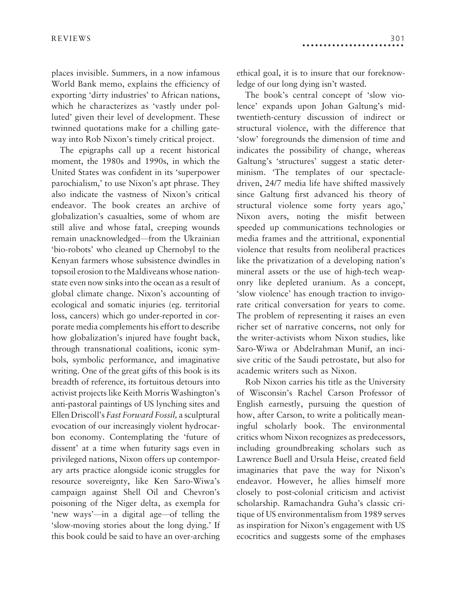places invisible. Summers, in a now infamous World Bank memo, explains the efficiency of exporting 'dirty industries' to African nations, which he characterizes as 'vastly under polluted' given their level of development. These twinned quotations make for a chilling gateway into Rob Nixon's timely critical project.

The epigraphs call up a recent historical moment, the 1980s and 1990s, in which the United States was confident in its 'superpower parochialism,' to use Nixon's apt phrase. They also indicate the vastness of Nixon's critical endeavor. The book creates an archive of globalization's casualties, some of whom are still alive and whose fatal, creeping wounds remain unacknowledged-from the Ukrainian 'bio-robots' who cleaned up Chernobyl to the Kenyan farmers whose subsistence dwindles in topsoil erosion to the Maldiveans whose nationstate even now sinks into the ocean as a result of global climate change. Nixon's accounting of ecological and somatic injuries (eg. territorial loss, cancers) which go under-reported in corporate media complements his effort to describe how globalization's injured have fought back, through transnational coalitions, iconic symbols, symbolic performance, and imaginative writing. One of the great gifts of this book is its breadth of reference, its fortuitous detours into activist projects like Keith Morris Washington's anti-pastoral paintings of US lynching sites and Ellen Driscoll's Fast Forward Fossil, a sculptural evocation of our increasingly violent hydrocarbon economy. Contemplating the 'future of dissent' at a time when futurity sags even in privileged nations, Nixon offers up contemporary arts practice alongside iconic struggles for resource sovereignty, like Ken Saro-Wiwa's campaign against Shell Oil and Chevron's poisoning of the Niger delta, as exempla for 'new ways'—in a digital age—of telling the 'slow-moving stories about the long dying.' If this book could be said to have an over-arching ethical goal, it is to insure that our foreknowledge of our long dying isn't wasted.

The book's central concept of 'slow violence' expands upon Johan Galtung's midtwentieth-century discussion of indirect or structural violence, with the difference that 'slow' foregrounds the dimension of time and indicates the possibility of change, whereas Galtung's 'structures' suggest a static determinism. 'The templates of our spectacledriven, 24/7 media life have shifted massively since Galtung first advanced his theory of structural violence some forty years ago,' Nixon avers, noting the misfit between speeded up communications technologies or media frames and the attritional, exponential violence that results from neoliberal practices like the privatization of a developing nation's mineral assets or the use of high-tech weaponry like depleted uranium. As a concept, 'slow violence' has enough traction to invigorate critical conversation for years to come. The problem of representing it raises an even richer set of narrative concerns, not only for the writer-activists whom Nixon studies, like Saro-Wiwa or Abdelrahman Munif, an incisive critic of the Saudi petrostate, but also for academic writers such as Nixon.

Rob Nixon carries his title as the University of Wisconsin's Rachel Carson Professor of English earnestly, pursuing the question of how, after Carson, to write a politically meaningful scholarly book. The environmental critics whom Nixon recognizes as predecessors, including groundbreaking scholars such as Lawrence Buell and Ursula Heise, created field imaginaries that pave the way for Nixon's endeavor. However, he allies himself more closely to post-colonial criticism and activist scholarship. Ramachandra Guha's classic critique of US environmentalism from 1989 serves as inspiration for Nixon's engagement with US ecocritics and suggests some of the emphases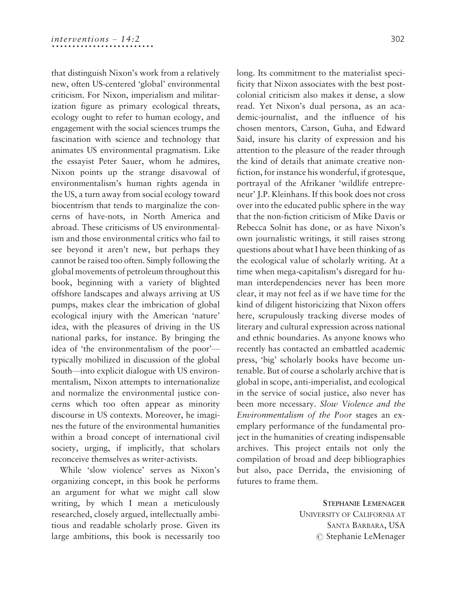that distinguish Nixon's work from a relatively new, often US-centered 'global' environmental criticism. For Nixon, imperialism and militarization figure as primary ecological threats, ecology ought to refer to human ecology, and engagement with the social sciences trumps the fascination with science and technology that animates US environmental pragmatism. Like the essayist Peter Sauer, whom he admires, Nixon points up the strange disavowal of environmentalism's human rights agenda in the US, a turn away from social ecology toward biocentrism that tends to marginalize the concerns of have-nots, in North America and abroad. These criticisms of US environmentalism and those environmental critics who fail to see beyond it aren't new, but perhaps they cannot be raised too often. Simply following the global movements of petroleum throughout this book, beginning with a variety of blighted offshore landscapes and always arriving at US pumps, makes clear the imbrication of global ecological injury with the American 'nature' idea, with the pleasures of driving in the US national parks, for instance. By bringing the idea of 'the environmentalism of the poor'typically mobilized in discussion of the global South—into explicit dialogue with US environmentalism, Nixon attempts to internationalize and normalize the environmental justice concerns which too often appear as minority discourse in US contexts. Moreover, he imagines the future of the environmental humanities within a broad concept of international civil society, urging, if implicitly, that scholars reconceive themselves as writer-activists.

While 'slow violence' serves as Nixon's organizing concept, in this book he performs an argument for what we might call slow writing, by which I mean a meticulously researched, closely argued, intellectually ambitious and readable scholarly prose. Given its large ambitions, this book is necessarily too long. Its commitment to the materialist specificity that Nixon associates with the best postcolonial criticism also makes it dense, a slow read. Yet Nixon's dual persona, as an academic-journalist, and the influence of his chosen mentors, Carson, Guha, and Edward Said, insure his clarity of expression and his attention to the pleasure of the reader through the kind of details that animate creative nonfiction, for instance his wonderful, if grotesque, portrayal of the Afrikaner 'wildlife entrepreneur' J.P. Kleinhans. If this book does not cross over into the educated public sphere in the way that the non-fiction criticism of Mike Davis or Rebecca Solnit has done, or as have Nixon's own journalistic writings, it still raises strong questions about what I have been thinking of as the ecological value of scholarly writing. At a time when mega-capitalism's disregard for human interdependencies never has been more clear, it may not feel as if we have time for the kind of diligent historicizing that Nixon offers here, scrupulously tracking diverse modes of literary and cultural expression across national and ethnic boundaries. As anyone knows who recently has contacted an embattled academic press, 'big' scholarly books have become untenable. But of course a scholarly archive that is global in scope, anti-imperialist, and ecological in the service of social justice, also never has been more necessary. Slow Violence and the Environmentalism of the Poor stages an exemplary performance of the fundamental project in the humanities of creating indispensable archives. This project entails not only the compilation of broad and deep bibliographies but also, pace Derrida, the envisioning of futures to frame them.

> STEPHANIE LEMENAGER UNIVERSITY OF CALIFORNIA AT SANTA BARBARA, USA  $\odot$  Stephanie LeMenager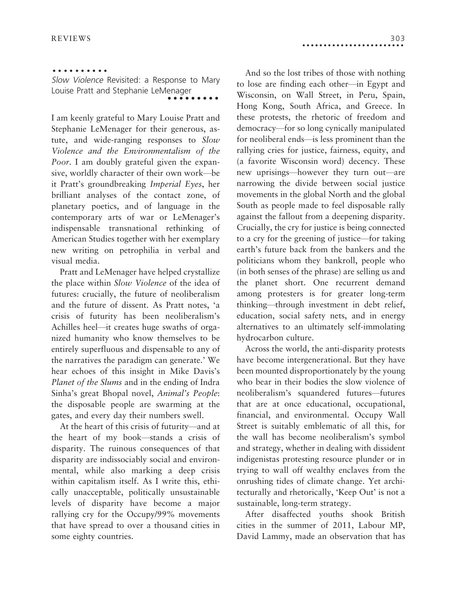#### ..........

Slow Violence Revisited: a Response to Mary Louise Pratt and Stephanie LeMenager

I am keenly grateful to Mary Louise Pratt and Stephanie LeMenager for their generous, astute, and wide-ranging responses to Slow Violence and the Environmentalism of the Poor. I am doubly grateful given the expansive, worldly character of their own work-be it Pratt's groundbreaking Imperial Eyes, her brilliant analyses of the contact zone, of planetary poetics, and of language in the contemporary arts of war or LeMenager's indispensable transnational rethinking of American Studies together with her exemplary new writing on petrophilia in verbal and visual media.

Pratt and LeMenager have helped crystallize the place within Slow Violence of the idea of futures: crucially, the future of neoliberalism and the future of dissent. As Pratt notes, 'a crisis of futurity has been neoliberalism's Achilles heel—it creates huge swaths of organized humanity who know themselves to be entirely superfluous and dispensable to any of the narratives the paradigm can generate.' We hear echoes of this insight in Mike Davis's Planet of the Slums and in the ending of Indra Sinha's great Bhopal novel, Animal's People: the disposable people are swarming at the gates, and every day their numbers swell.

At the heart of this crisis of futurity-and at the heart of my book-stands a crisis of disparity. The ruinous consequences of that disparity are indissociably social and environmental, while also marking a deep crisis within capitalism itself. As I write this, ethically unacceptable, politically unsustainable levels of disparity have become a major rallying cry for the Occupy/99% movements that have spread to over a thousand cities in some eighty countries.

And so the lost tribes of those with nothing to lose are finding each other—in Egypt and Wisconsin, on Wall Street, in Peru, Spain, Hong Kong, South Africa, and Greece. In these protests, the rhetoric of freedom and democracy—for so long cynically manipulated for neoliberal ends-is less prominent than the rallying cries for justice, fairness, equity, and (a favorite Wisconsin word) decency. These new uprisings—however they turn out—are narrowing the divide between social justice movements in the global North and the global South as people made to feel disposable rally against the fallout from a deepening disparity. Crucially, the cry for justice is being connected to a cry for the greening of justice—for taking earth's future back from the bankers and the politicians whom they bankroll, people who (in both senses of the phrase) are selling us and the planet short. One recurrent demand among protesters is for greater long-term thinking—through investment in debt relief, education, social safety nets, and in energy alternatives to an ultimately self-immolating hydrocarbon culture.

Across the world, the anti-disparity protests have become intergenerational. But they have been mounted disproportionately by the young who bear in their bodies the slow violence of neoliberalism's squandered futures—futures that are at once educational, occupational, financial, and environmental. Occupy Wall Street is suitably emblematic of all this, for the wall has become neoliberalism's symbol and strategy, whether in dealing with dissident indigenistas protesting resource plunder or in trying to wall off wealthy enclaves from the onrushing tides of climate change. Yet architecturally and rhetorically, 'Keep Out' is not a sustainable, long-term strategy.

After disaffected youths shook British cities in the summer of 2011, Labour MP, David Lammy, made an observation that has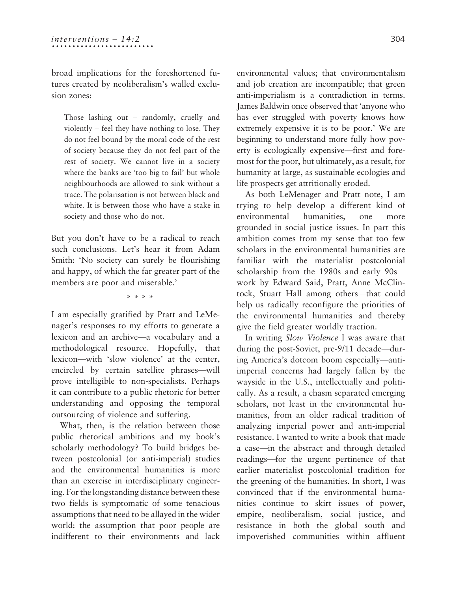broad implications for the foreshortened futures created by neoliberalism's walled exclusion zones:

Those lashing out  $-$  randomly, cruelly and violently  $-$  feel they have nothing to lose. They do not feel bound by the moral code of the rest of society because they do not feel part of the rest of society. We cannot live in a society where the banks are 'too big to fail' but whole neighbourhoods are allowed to sink without a trace. The polarisation is not between black and white. It is between those who have a stake in society and those who do not.

But you don't have to be a radical to reach such conclusions. Let's hear it from Adam Smith: 'No society can surely be flourishing and happy, of which the far greater part of the members are poor and miserable.'

\*\*\*\*

I am especially gratified by Pratt and LeMenager's responses to my efforts to generate a lexicon and an archive-a vocabulary and a methodological resource. Hopefully, that lexicon-with 'slow violence' at the center, encircled by certain satellite phrases-will prove intelligible to non-specialists. Perhaps it can contribute to a public rhetoric for better understanding and opposing the temporal outsourcing of violence and suffering.

What, then, is the relation between those public rhetorical ambitions and my book's scholarly methodology? To build bridges between postcolonial (or anti-imperial) studies and the environmental humanities is more than an exercise in interdisciplinary engineering. For the longstanding distance between these two fields is symptomatic of some tenacious assumptions that need to be allayed in the wider world: the assumption that poor people are indifferent to their environments and lack

environmental values; that environmentalism and job creation are incompatible; that green anti-imperialism is a contradiction in terms. James Baldwin once observed that 'anyone who has ever struggled with poverty knows how extremely expensive it is to be poor.' We are beginning to understand more fully how poverty is ecologically expensive—first and foremost for the poor, but ultimately, as a result, for humanity at large, as sustainable ecologies and life prospects get attritionally eroded.

As both LeMenager and Pratt note, I am trying to help develop a different kind of environmental humanities, one more grounded in social justice issues. In part this ambition comes from my sense that too few scholars in the environmental humanities are familiar with the materialist postcolonial scholarship from the 1980s and early  $90s$ work by Edward Said, Pratt, Anne McClintock, Stuart Hall among others-that could help us radically reconfigure the priorities of the environmental humanities and thereby give the field greater worldly traction.

In writing *Slow Violence* I was aware that during the post-Soviet, pre-9/11 decade—during America's dotcom boom especially—antiimperial concerns had largely fallen by the wayside in the U.S., intellectually and politically. As a result, a chasm separated emerging scholars, not least in the environmental humanities, from an older radical tradition of analyzing imperial power and anti-imperial resistance. I wanted to write a book that made a case—in the abstract and through detailed readings—for the urgent pertinence of that earlier materialist postcolonial tradition for the greening of the humanities. In short, I was convinced that if the environmental humanities continue to skirt issues of power, empire, neoliberalism, social justice, and resistance in both the global south and impoverished communities within affluent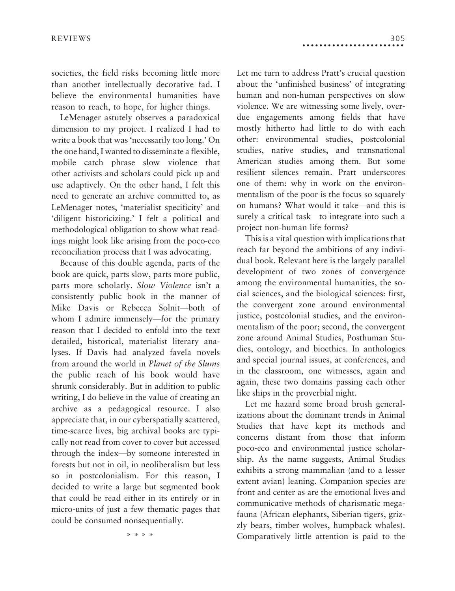societies, the field risks becoming little more than another intellectually decorative fad. I believe the environmental humanities have reason to reach, to hope, for higher things.

LeMenager astutely observes a paradoxical dimension to my project. I realized I had to write a book that was 'necessarily too long.' On the one hand, I wanted to disseminate a flexible, mobile catch phrase-slow violence-that other activists and scholars could pick up and use adaptively. On the other hand, I felt this need to generate an archive committed to, as LeMenager notes, 'materialist specificity' and 'diligent historicizing.' I felt a political and methodological obligation to show what readings might look like arising from the poco-eco reconciliation process that I was advocating.

Because of this double agenda, parts of the book are quick, parts slow, parts more public, parts more scholarly. Slow Violence isn't a consistently public book in the manner of Mike Davis or Rebecca Solnit-both of whom I admire immensely—for the primary reason that I decided to enfold into the text detailed, historical, materialist literary analyses. If Davis had analyzed favela novels from around the world in Planet of the Slums the public reach of his book would have shrunk considerably. But in addition to public writing, I do believe in the value of creating an archive as a pedagogical resource. I also appreciate that, in our cyberspatially scattered, time-scarce lives, big archival books are typically not read from cover to cover but accessed through the index-by someone interested in forests but not in oil, in neoliberalism but less so in postcolonialism. For this reason, I decided to write a large but segmented book that could be read either in its entirely or in micro-units of just a few thematic pages that could be consumed nonsequentially.

Let me turn to address Pratt's crucial question about the 'unfinished business' of integrating human and non-human perspectives on slow violence. We are witnessing some lively, overdue engagements among fields that have mostly hitherto had little to do with each other: environmental studies, postcolonial studies, native studies, and transnational American studies among them. But some resilient silences remain. Pratt underscores one of them: why in work on the environmentalism of the poor is the focus so squarely on humans? What would it take—and this is surely a critical task-to integrate into such a project non-human life forms?

This is a vital question with implications that reach far beyond the ambitions of any individual book. Relevant here is the largely parallel development of two zones of convergence among the environmental humanities, the social sciences, and the biological sciences: first, the convergent zone around environmental justice, postcolonial studies, and the environmentalism of the poor; second, the convergent zone around Animal Studies, Posthuman Studies, ontology, and bioethics. In anthologies and special journal issues, at conferences, and in the classroom, one witnesses, again and again, these two domains passing each other like ships in the proverbial night.

Let me hazard some broad brush generalizations about the dominant trends in Animal Studies that have kept its methods and concerns distant from those that inform poco-eco and environmental justice scholarship. As the name suggests, Animal Studies exhibits a strong mammalian (and to a lesser extent avian) leaning. Companion species are front and center as are the emotional lives and communicative methods of charismatic megafauna (African elephants, Siberian tigers, grizzly bears, timber wolves, humpback whales). Comparatively little attention is paid to the

\*\*\*\*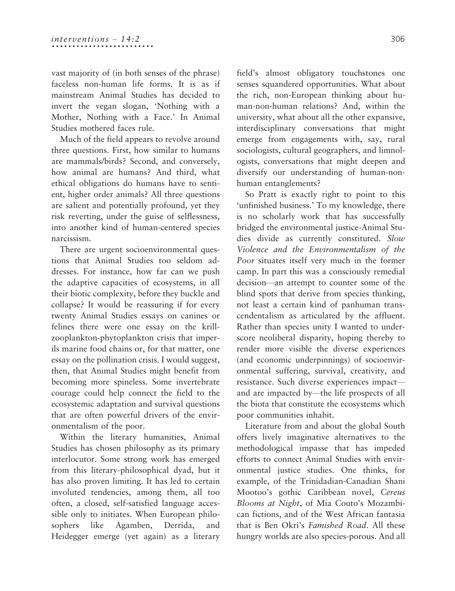vast majority of (in both senses of the phrase) faceless non-human life forms. It is as if mainstream Animal Studies has decided to invert the vegan slogan, 'Nothing with a Mother, Nothing with a Face.' In Animal Studies mothered faces rule.

Much of the field appears to revolve around three questions. First, how similar to humans are mammals/birds? Second, and conversely, how animal are humans? And third, what ethical obligations do humans have to sentient, higher order animals? All three questions are salient and potentially profound, yet they risk reverting, under the guise of selflessness, into another kind of human-centered species narcissism.

There are urgent socioenvironmental questions that Animal Studies too seldom addresses. For instance, how far can we push the adaptive capacities of ecosystems, in all their biotic complexity, before they buckle and collapse? It would be reassuring if for every twenty Animal Studies essays on canines or felines there were one essay on the krillzooplankton-phytoplankton crisis that imperils marine food chains or, for that matter, one essay on the pollination crisis. I would suggest, then, that Animal Studies might benefit from becoming more spineless. Some invertebrate courage could help connect the field to the ecosystemic adaptation and survival questions that are often powerful drivers of the environmentalism of the poor.

Within the literary humanities, Animal Studies has chosen philosophy as its primary interlocutor. Some strong work has emerged from this literary-philosophical dyad, but it has also proven limiting. It has led to certain involuted tendencies, among them, all too often, a closed, self-satisfied language accessible only to initiates. When European philosophers like Agamben, Derrida, and Heidegger emerge (yet again) as a literary field's almost obligatory touchstones one senses squandered opportunities. What about the rich, non-European thinking about human-non-human relations? And, within the university, what about all the other expansive, interdisciplinary conversations that might emerge from engagements with, say, rural sociologists, cultural geographers, and limnologists, conversations that might deepen and diversify our understanding of human-nonhuman entanglements?

So Pratt is exactly right to point to this 'unfinished business.' To my knowledge, there is no scholarly work that has successfully bridged the environmental justice-Animal Studies divide as currently constituted. Slow Violence and the Environmentalism of the Poor situates itself very much in the former camp. In part this was a consciously remedial decision-an attempt to counter some of the blind spots that derive from species thinking, not least a certain kind of panhuman transcendentalism as articulated by the affluent. Rather than species unity I wanted to underscore neoliberal disparity, hoping thereby to render more visible the diverse experiences (and economic underpinnings) of socioenvironmental suffering, survival, creativity, and resistance. Such diverse experiences impactand are impacted by—the life prospects of all the biota that constitute the ecosystems which poor communities inhabit.

Literature from and about the global South offers lively imaginative alternatives to the methodological impasse that has impeded efforts to connect Animal Studies with environmental justice studies. One thinks, for example, of the Trinidadian-Canadian Shani Mootoo's gothic Caribbean novel, Cereus Blooms at Night, of Mia Couto's Mozambican fictions, and of the West African fantasia that is Ben Okri's Famished Road. All these hungry worlds are also species-porous. And all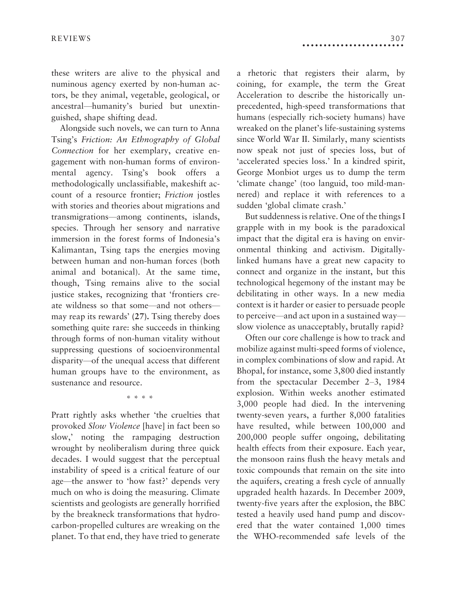these writers are alive to the physical and numinous agency exerted by non-human actors, be they animal, vegetable, geological, or ancestral-humanity's buried but unextinguished, shape shifting dead.

Alongside such novels, we can turn to Anna Tsing's Friction: An Ethnography of Global Connection for her exemplary, creative engagement with non-human forms of environmental agency. Tsing's book offers a methodologically unclassifiable, makeshift account of a resource frontier; Friction jostles with stories and theories about migrations and transmigrations—among continents, islands, species. Through her sensory and narrative immersion in the forest forms of Indonesia's Kalimantan, Tsing taps the energies moving between human and non-human forces (both animal and botanical). At the same time, though, Tsing remains alive to the social justice stakes, recognizing that 'frontiers create wildness so that some—and not others may reap its rewards' (27). Tsing thereby does something quite rare: she succeeds in thinking through forms of non-human vitality without suppressing questions of socioenvironmental disparity-of the unequal access that different human groups have to the environment, as sustenance and resource.

\*\*\*\*

Pratt rightly asks whether 'the cruelties that provoked Slow Violence [have] in fact been so slow,' noting the rampaging destruction wrought by neoliberalism during three quick decades. I would suggest that the perceptual instability of speed is a critical feature of our age—the answer to 'how fast?' depends very much on who is doing the measuring. Climate scientists and geologists are generally horrified by the breakneck transformations that hydrocarbon-propelled cultures are wreaking on the planet. To that end, they have tried to generate a rhetoric that registers their alarm, by coining, for example, the term the Great Acceleration to describe the historically unprecedented, high-speed transformations that humans (especially rich-society humans) have wreaked on the planet's life-sustaining systems since World War II. Similarly, many scientists now speak not just of species loss, but of 'accelerated species loss.' In a kindred spirit, George Monbiot urges us to dump the term 'climate change' (too languid, too mild-mannered) and replace it with references to a sudden 'global climate crash.'

But suddenness is relative. One of the things I grapple with in my book is the paradoxical impact that the digital era is having on environmental thinking and activism. Digitallylinked humans have a great new capacity to connect and organize in the instant, but this technological hegemony of the instant may be debilitating in other ways. In a new media context is it harder or easier to persuade people to perceive—and act upon in a sustained way slow violence as unacceptably, brutally rapid?

Often our core challenge is how to track and mobilize against multi-speed forms of violence, in complex combinations of slow and rapid. At Bhopal, for instance, some 3,800 died instantly from the spectacular December 2-3, 1984 explosion. Within weeks another estimated 3,000 people had died. In the intervening twenty-seven years, a further 8,000 fatalities have resulted, while between 100,000 and 200,000 people suffer ongoing, debilitating health effects from their exposure. Each year, the monsoon rains flush the heavy metals and toxic compounds that remain on the site into the aquifers, creating a fresh cycle of annually upgraded health hazards. In December 2009, twenty-five years after the explosion, the BBC tested a heavily used hand pump and discovered that the water contained 1,000 times the WHO-recommended safe levels of the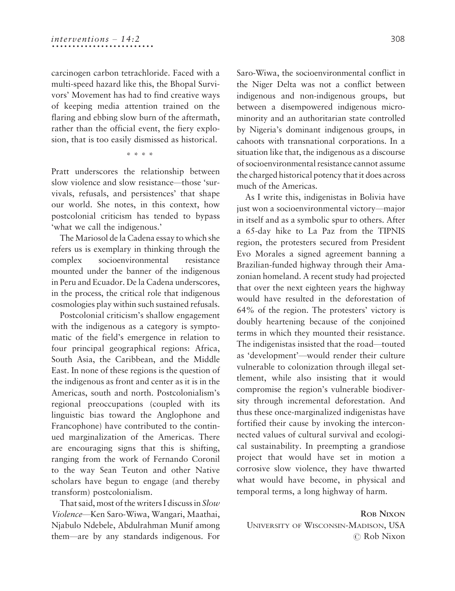carcinogen carbon tetrachloride. Faced with a multi-speed hazard like this, the Bhopal Survivors' Movement has had to find creative ways of keeping media attention trained on the flaring and ebbing slow burn of the aftermath, rather than the official event, the fiery explosion, that is too easily dismissed as historical.

\*\*\*\*

Pratt underscores the relationship between slow violence and slow resistance—those 'survivals, refusals, and persistences' that shape our world. She notes, in this context, how postcolonial criticism has tended to bypass 'what we call the indigenous.'

The Mariosol de la Cadena essay to which she refers us is exemplary in thinking through the complex socioenvironmental resistance mounted under the banner of the indigenous in Peru and Ecuador. De la Cadena underscores, in the process, the critical role that indigenous cosmologies play within such sustained refusals.

Postcolonial criticism's shallow engagement with the indigenous as a category is symptomatic of the field's emergence in relation to four principal geographical regions: Africa, South Asia, the Caribbean, and the Middle East. In none of these regions is the question of the indigenous as front and center as it is in the Americas, south and north. Postcolonialism's regional preoccupations (coupled with its linguistic bias toward the Anglophone and Francophone) have contributed to the continued marginalization of the Americas. There are encouraging signs that this is shifting, ranging from the work of Fernando Coronil to the way Sean Teuton and other Native scholars have begun to engage (and thereby transform) postcolonialism.

That said, most of the writers I discuss in Slow Violence-Ken Saro-Wiwa, Wangari, Maathai, Njabulo Ndebele, Abdulrahman Munif among them—are by any standards indigenous. For

Saro-Wiwa, the socioenvironmental conflict in the Niger Delta was not a conflict between indigenous and non-indigenous groups, but between a disempowered indigenous microminority and an authoritarian state controlled by Nigeria's dominant indigenous groups, in cahoots with transnational corporations. In a situation like that, the indigenous as a discourse of socioenvironmental resistance cannot assume the charged historical potency that it does across much of the Americas.

As I write this, indigenistas in Bolivia have just won a socioenvironmental victory—major in itself and as a symbolic spur to others. After a 65-day hike to La Paz from the TIPNIS region, the protesters secured from President Evo Morales a signed agreement banning a Brazilian-funded highway through their Amazonian homeland. A recent study had projected that over the next eighteen years the highway would have resulted in the deforestation of 64% of the region. The protesters' victory is doubly heartening because of the conjoined terms in which they mounted their resistance. The indigenistas insisted that the road—touted as 'development'--would render their culture vulnerable to colonization through illegal settlement, while also insisting that it would compromise the region's vulnerable biodiversity through incremental deforestation. And thus these once-marginalized indigenistas have fortified their cause by invoking the interconnected values of cultural survival and ecological sustainability. In preempting a grandiose project that would have set in motion a corrosive slow violence, they have thwarted what would have become, in physical and temporal terms, a long highway of harm.

ROB NIXON UNIVERSITY OF WISCONSIN-MADISON, USA © Rob Nixon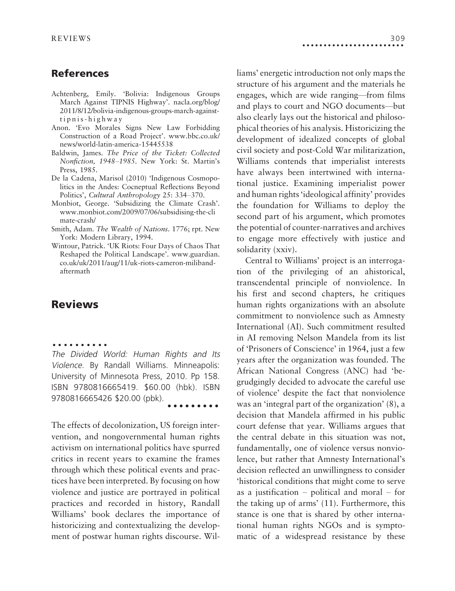## References

- Achtenberg, Emily. 'Bolivia: Indigenous Groups March Against TIPNIS Highway'. [nacla.org/blog/](http://nacla.org/blog/2011/8/12/bolivia-indigenous-groups-march-against-tipnis-highway) [2011/8/12/bolivia-indigenous-groups-march-against](http://nacla.org/blog/2011/8/12/bolivia-indigenous-groups-march-against-tipnis-highway)[tipnis-highway](http://nacla.org/blog/2011/8/12/bolivia-indigenous-groups-march-against-tipnis-highway)
- Anon. 'Evo Morales Signs New Law Forbidding Construction of a Road Project'. [www.bbc.co.uk/](http://www.bbc.co.uk/news/world-latin-america-15445538) [news/world-latin-america-15445538](http://www.bbc.co.uk/news/world-latin-america-15445538)
- Baldwin, James. The Price of the Ticket: Collected Nonfiction, 1948-1985. New York: St. Martin's Press, 1985.
- De la Cadena, Marisol (2010) 'Indigenous Cosmopolitics in the Andes: Cocneptual Reflections Beyond Politics', Cultural Anthropology 25: 334-370.
- Monbiot, George. 'Subsidizing the Climate Crash'. [www.monbiot.com/2009/07/06/subsidising-the-cli](http://www.monbiot.com/2009/07/06/subsidising-the-climate-crash/) [mate-crash/](http://www.monbiot.com/2009/07/06/subsidising-the-climate-crash/)
- Smith, Adam. The Wealth of Nations. 1776; rpt. New York: Modern Library, 1994.
- Wintour, Patrick. 'UK Riots: Four Days of Chaos That Reshaped the Political Landscape'. [www.guardian.](http://www.guardian.co.uk/uk/2011/aug/11/uk-riots-cameron-miliband-aftermath) [co.uk/uk/2011/aug/11/uk-riots-cameron-miliband](http://www.guardian.co.uk/uk/2011/aug/11/uk-riots-cameron-miliband-aftermath)[aftermath](http://www.guardian.co.uk/uk/2011/aug/11/uk-riots-cameron-miliband-aftermath)

# Reviews

..........

The Divided World: Human Rights and Its Violence. By Randall Williams. Minneapolis: University of Minnesota Press, 2010. Pp 158. ISBN 9780816665419. \$60.00 (hbk). ISBN 9780816665426 \$20.00 (pbk). ........

The effects of decolonization, US foreign intervention, and nongovernmental human rights activism on international politics have spurred critics in recent years to examine the frames through which these political events and practices have been interpreted. By focusing on how violence and justice are portrayed in political practices and recorded in history, Randall Williams' book declares the importance of historicizing and contextualizing the development of postwar human rights discourse. Williams' energetic introduction not only maps the structure of his argument and the materials he engages, which are wide ranging—from films and plays to court and NGO documents-but also clearly lays out the historical and philosophical theories of his analysis. Historicizing the development of idealized concepts of global civil society and post-Cold War militarization, Williams contends that imperialist interests have always been intertwined with international justice. Examining imperialist power and human rights'ideological affinity' provides the foundation for Williams to deploy the second part of his argument, which promotes the potential of counter-narratives and archives to engage more effectively with justice and solidarity (xxiv).

Central to Williams' project is an interrogation of the privileging of an ahistorical, transcendental principle of nonviolence. In his first and second chapters, he critiques human rights organizations with an absolute commitment to nonviolence such as Amnesty International (AI). Such commitment resulted in AI removing Nelson Mandela from its list of 'Prisoners of Conscience' in 1964, just a few years after the organization was founded. The African National Congress (ANC) had 'begrudgingly decided to advocate the careful use of violence' despite the fact that nonviolence was an 'integral part of the organization' (8), a decision that Mandela affirmed in his public court defense that year. Williams argues that the central debate in this situation was not, fundamentally, one of violence versus nonviolence, but rather that Amnesty International's decision reflected an unwillingness to consider 'historical conditions that might come to serve as a justification  $-$  political and moral  $-$  for the taking up of arms' (11). Furthermore, this stance is one that is shared by other international human rights NGOs and is symptomatic of a widespread resistance by these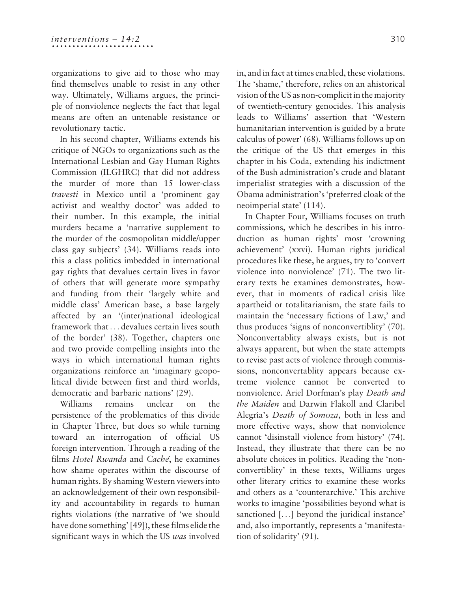organizations to give aid to those who may find themselves unable to resist in any other way. Ultimately, Williams argues, the principle of nonviolence neglects the fact that legal means are often an untenable resistance or revolutionary tactic.

In his second chapter, Williams extends his critique of NGOs to organizations such as the International Lesbian and Gay Human Rights Commission (ILGHRC) that did not address the murder of more than 15 lower-class travesti in Mexico until a 'prominent gay activist and wealthy doctor' was added to their number. In this example, the initial murders became a 'narrative supplement to the murder of the cosmopolitan middle/upper class gay subjects' (34). Williams reads into this a class politics imbedded in international gay rights that devalues certain lives in favor of others that will generate more sympathy and funding from their 'largely white and middle class' American base, a base largely affected by an '(inter)national ideological framework that... devalues certain lives south of the border' (38). Together, chapters one and two provide compelling insights into the ways in which international human rights organizations reinforce an 'imaginary geopolitical divide between first and third worlds, democratic and barbaric nations' (29).

Williams remains unclear on the persistence of the problematics of this divide in Chapter Three, but does so while turning toward an interrogation of official US foreign intervention. Through a reading of the films Hotel Rwanda and Caché, he examines how shame operates within the discourse of human rights. By shaming Western viewers into an acknowledgement of their own responsibility and accountability in regards to human rights violations (the narrative of 'we should have done something' [49]), these films elide the significant ways in which the US  $was$  involved in, and in fact at times enabled, these violations. The 'shame,' therefore, relies on an ahistorical vision of the US as non-complicit in the majority of twentieth-century genocides. This analysis leads to Williams' assertion that 'Western humanitarian intervention is guided by a brute calculus of power' (68). Williams follows up on the critique of the US that emerges in this chapter in his Coda, extending his indictment of the Bush administration's crude and blatant imperialist strategies with a discussion of the Obama administration's 'preferred cloak of the neoimperial state' (114).

In Chapter Four, Williams focuses on truth commissions, which he describes in his introduction as human rights' most 'crowning achievement' (xxvi). Human rights juridical procedures like these, he argues, try to 'convert violence into nonviolence' (71). The two literary texts he examines demonstrates, however, that in moments of radical crisis like apartheid or totalitarianism, the state fails to maintain the 'necessary fictions of Law,' and thus produces 'signs of nonconvertiblity' (70). Nonconvertablity always exists, but is not always apparent, but when the state attempts to revise past acts of violence through commissions, nonconvertablity appears because extreme violence cannot be converted to nonviolence. Ariel Dorfman's play Death and the Maiden and Darwin Flakoll and Claribel Alegría's Death of Somoza, both in less and more effective ways, show that nonviolence cannot 'disinstall violence from history' (74). Instead, they illustrate that there can be no absolute choices in politics. Reading the 'nonconvertiblity' in these texts, Williams urges other literary critics to examine these works and others as a 'counterarchive.' This archive works to imagine 'possibilities beyond what is sanctioned [...] beyond the juridical instance' and, also importantly, represents a 'manifestation of solidarity' (91).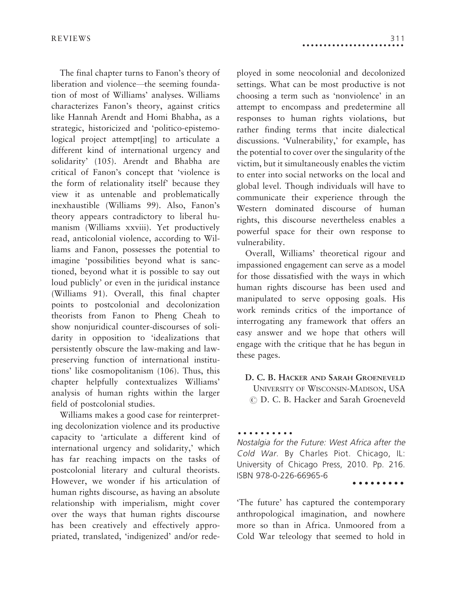The final chapter turns to Fanon's theory of liberation and violence—the seeming foundation of most of Williams' analyses. Williams characterizes Fanon's theory, against critics like Hannah Arendt and Homi Bhabha, as a strategic, historicized and 'politico-epistemological project attempt[ing] to articulate a different kind of international urgency and solidarity' (105). Arendt and Bhabha are critical of Fanon's concept that 'violence is the form of relationality itself' because they view it as untenable and problematically inexhaustible (Williams 99). Also, Fanon's theory appears contradictory to liberal humanism (Williams xxviii). Yet productively read, anticolonial violence, according to Williams and Fanon, possesses the potential to imagine 'possibilities beyond what is sanctioned, beyond what it is possible to say out loud publicly' or even in the juridical instance (Williams 91). Overall, this final chapter points to postcolonial and decolonization theorists from Fanon to Pheng Cheah to show nonjuridical counter-discourses of solidarity in opposition to 'idealizations that persistently obscure the law-making and lawpreserving function of international institutions' like cosmopolitanism (106). Thus, this chapter helpfully contextualizes Williams' analysis of human rights within the larger field of postcolonial studies.

Williams makes a good case for reinterpreting decolonization violence and its productive capacity to 'articulate a different kind of international urgency and solidarity,' which has far reaching impacts on the tasks of postcolonial literary and cultural theorists. However, we wonder if his articulation of human rights discourse, as having an absolute relationship with imperialism, might cover over the ways that human rights discourse has been creatively and effectively appropriated, translated, 'indigenized' and/or rede-

REVIEWS <sup>311</sup> ........................

ployed in some neocolonial and decolonized settings. What can be most productive is not choosing a term such as 'nonviolence' in an attempt to encompass and predetermine all responses to human rights violations, but rather finding terms that incite dialectical discussions. 'Vulnerability,' for example, has the potential to cover over the singularity of the victim, but it simultaneously enables the victim to enter into social networks on the local and global level. Though individuals will have to communicate their experience through the Western dominated discourse of human rights, this discourse nevertheless enables a powerful space for their own response to vulnerability.

Overall, Williams' theoretical rigour and impassioned engagement can serve as a model for those dissatisfied with the ways in which human rights discourse has been used and manipulated to serve opposing goals. His work reminds critics of the importance of interrogating any framework that offers an easy answer and we hope that others will engage with the critique that he has begun in these pages.

D. C. B. HACKER AND SARAH GROENEVELD UNIVERSITY OF WISCONSIN-MADISON, USA  $\odot$  D. C. B. Hacker and Sarah Groeneveld

.......... Nostalgia for the Future: West Africa after the Cold War. By Charles Piot. Chicago, IL: University of Chicago Press, 2010. Pp. 216. ISBN 978-0-226-66965-6 **.........** 

'The future' has captured the contemporary anthropological imagination, and nowhere more so than in Africa. Unmoored from a Cold War teleology that seemed to hold in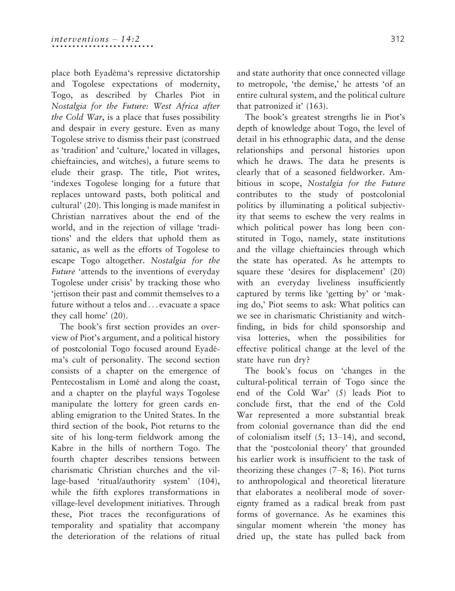place both Eyadéma's repressive dictatorship and Togolese expectations of modernity, Togo, as described by Charles Piot in Nostalgia for the Future: West Africa after the Cold War, is a place that fuses possibility and despair in every gesture. Even as many Togolese strive to dismiss their past (construed as 'tradition' and 'culture,' located in villages, chieftaincies, and witches), a future seems to elude their grasp. The title, Piot writes, 'indexes Togolese longing for a future that replaces untoward pasts, both political and cultural' (20). This longing is made manifest in Christian narratives about the end of the world, and in the rejection of village 'traditions' and the elders that uphold them as satanic, as well as the efforts of Togolese to escape Togo altogether. Nostalgia for the Future 'attends to the inventions of everyday Togolese under crisis' by tracking those who 'jettison their past and commit themselves to a future without a telos and ... evacuate a space they call home' (20).

The book's first section provides an overview of Piot's argument, and a political history of postcolonial Togo focused around Eyadéma's cult of personality. The second section consists of a chapter on the emergence of Pentecostalism in Lomé and along the coast, and a chapter on the playful ways Togolese manipulate the lottery for green cards enabling emigration to the United States. In the third section of the book, Piot returns to the site of his long-term fieldwork among the Kabre in the hills of northern Togo. The fourth chapter describes tensions between charismatic Christian churches and the village-based 'ritual/authority system' (104), while the fifth explores transformations in village-level development initiatives. Through these, Piot traces the reconfigurations of temporality and spatiality that accompany the deterioration of the relations of ritual

and state authority that once connected village to metropole, 'the demise,' he attests 'of an entire cultural system, and the political culture that patronized it' (163).

The book's greatest strengths lie in Piot's depth of knowledge about Togo, the level of detail in his ethnographic data, and the dense relationships and personal histories upon which he draws. The data he presents is clearly that of a seasoned fieldworker. Ambitious in scope, Nostalgia for the Future contributes to the study of postcolonial politics by illuminating a political subjectivity that seems to eschew the very realms in which political power has long been constituted in Togo, namely, state institutions and the village chieftaincies through which the state has operated. As he attempts to square these 'desires for displacement' (20) with an everyday liveliness insufficiently captured by terms like 'getting by' or 'making do,' Piot seems to ask: What politics can we see in charismatic Christianity and witchfinding, in bids for child sponsorship and visa lotteries, when the possibilities for effective political change at the level of the state have run dry?

The book's focus on 'changes in the cultural-political terrain of Togo since the end of the Cold War' (5) leads Piot to conclude first, that the end of the Cold War represented a more substantial break from colonial governance than did the end of colonialism itself  $(5; 13-14)$ , and second, that the 'postcolonial theory' that grounded his earlier work is insufficient to the task of theorizing these changes  $(7-8; 16)$ . Piot turns to anthropological and theoretical literature that elaborates a neoliberal mode of sovereignty framed as a radical break from past forms of governance. As he examines this singular moment wherein 'the money has dried up, the state has pulled back from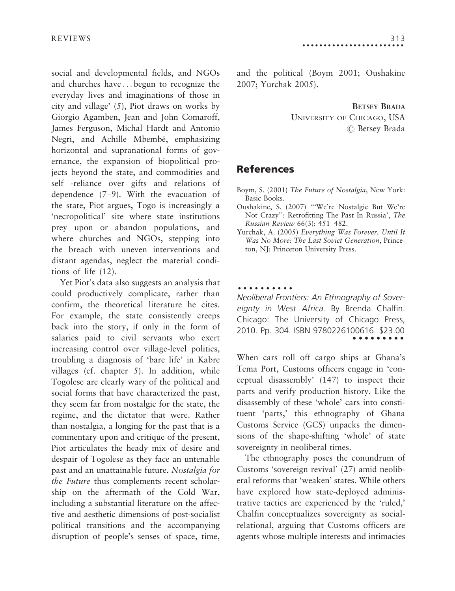social and developmental fields, and NGOs and churches have ... begun to recognize the everyday lives and imaginations of those in city and village' (5), Piot draws on works by Giorgio Agamben, Jean and John Comaroff, James Ferguson, Michal Hardt and Antonio Negri, and Achille Mbembé, emphasizing horizontal and supranational forms of governance, the expansion of biopolitical projects beyond the state, and commodities and self -reliance over gifts and relations of dependence  $(7-9)$ . With the evacuation of the state, Piot argues, Togo is increasingly a 'necropolitical' site where state institutions prey upon or abandon populations, and where churches and NGOs, stepping into the breach with uneven interventions and distant agendas, neglect the material conditions of life (12).

Yet Piot's data also suggests an analysis that could productively complicate, rather than confirm, the theoretical literature he cites. For example, the state consistently creeps back into the story, if only in the form of salaries paid to civil servants who exert increasing control over village-level politics, troubling a diagnosis of 'bare life' in Kabre villages (cf. chapter 5). In addition, while Togolese are clearly wary of the political and social forms that have characterized the past, they seem far from nostalgic for the state, the regime, and the dictator that were. Rather than nostalgia, a longing for the past that is a commentary upon and critique of the present, Piot articulates the heady mix of desire and despair of Togolese as they face an untenable past and an unattainable future. Nostalgia for the Future thus complements recent scholarship on the aftermath of the Cold War, including a substantial literature on the affective and aesthetic dimensions of post-socialist political transitions and the accompanying disruption of people's senses of space, time, and the political (Boym 2001; Oushakine 2007; Yurchak 2005).

> BETSEY BRADA UNIVERSITY OF CHICAGO, USA  $\oslash$  Betsey Brada

# **References**

- Boym, S. (2001) The Future of Nostalgia, New York: Basic Books.
- Oushakine, S. (2007) '''We're Nostalgic But We're Not Crazy'': Retrofitting The Past In Russia', The Russian Review 66(3): 451-482.
- Yurchak, A. (2005) Everything Was Forever, Until It Was No More: The Last Soviet Generation, Princeton, NJ: Princeton University Press.

#### ..........

Neoliberal Frontiers: An Ethnography of Sovereignty in West Africa. By Brenda Chalfin. Chicago: The University of Chicago Press, 2010. Pp. 304. ISBN 9780226100616. \$23.00

When cars roll off cargo ships at Ghana's Tema Port, Customs officers engage in 'conceptual disassembly' (147) to inspect their parts and verify production history. Like the disassembly of these 'whole' cars into constituent 'parts,' this ethnography of Ghana Customs Service (GCS) unpacks the dimensions of the shape-shifting 'whole' of state sovereignty in neoliberal times.

The ethnography poses the conundrum of Customs 'sovereign revival' (27) amid neoliberal reforms that 'weaken' states. While others have explored how state-deployed administrative tactics are experienced by the 'ruled,' Chalfin conceptualizes sovereignty as socialrelational, arguing that Customs officers are agents whose multiple interests and intimacies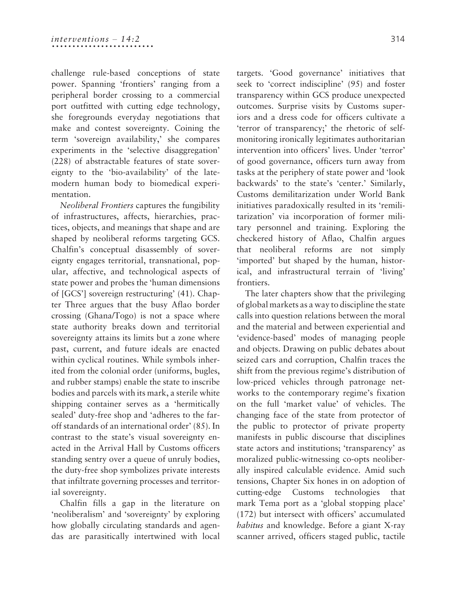challenge rule-based conceptions of state power. Spanning 'frontiers' ranging from a peripheral border crossing to a commercial port outfitted with cutting edge technology, she foregrounds everyday negotiations that make and contest sovereignty. Coining the term 'sovereign availability,' she compares experiments in the 'selective disaggregation' (228) of abstractable features of state sovereignty to the 'bio-availability' of the latemodern human body to biomedical experimentation.

Neoliberal Frontiers captures the fungibility of infrastructures, affects, hierarchies, practices, objects, and meanings that shape and are shaped by neoliberal reforms targeting GCS. Chalfin's conceptual disassembly of sovereignty engages territorial, transnational, popular, affective, and technological aspects of state power and probes the 'human dimensions of [GCS'] sovereign restructuring' (41). Chapter Three argues that the busy Aflao border crossing (Ghana/Togo) is not a space where state authority breaks down and territorial sovereignty attains its limits but a zone where past, current, and future ideals are enacted within cyclical routines. While symbols inherited from the colonial order (uniforms, bugles, and rubber stamps) enable the state to inscribe bodies and parcels with its mark, a sterile white shipping container serves as a 'hermitically sealed' duty-free shop and 'adheres to the faroff standards of an international order' (85). In contrast to the state's visual sovereignty enacted in the Arrival Hall by Customs officers standing sentry over a queue of unruly bodies, the duty-free shop symbolizes private interests that infiltrate governing processes and territorial sovereignty.

Chalfin fills a gap in the literature on 'neoliberalism' and 'sovereignty' by exploring how globally circulating standards and agendas are parasitically intertwined with local

targets. 'Good governance' initiatives that seek to 'correct indiscipline' (95) and foster transparency within GCS produce unexpected outcomes. Surprise visits by Customs superiors and a dress code for officers cultivate a 'terror of transparency;' the rhetoric of selfmonitoring ironically legitimates authoritarian intervention into officers' lives. Under 'terror' of good governance, officers turn away from tasks at the periphery of state power and 'look backwards' to the state's 'center.' Similarly, Customs demilitarization under World Bank initiatives paradoxically resulted in its 'remilitarization' via incorporation of former military personnel and training. Exploring the checkered history of Aflao, Chalfin argues that neoliberal reforms are not simply 'imported' but shaped by the human, historical, and infrastructural terrain of 'living' frontiers.

The later chapters show that the privileging of global markets as a way to discipline the state calls into question relations between the moral and the material and between experiential and 'evidence-based' modes of managing people and objects. Drawing on public debates about seized cars and corruption, Chalfin traces the shift from the previous regime's distribution of low-priced vehicles through patronage networks to the contemporary regime's fixation on the full 'market value' of vehicles. The changing face of the state from protector of the public to protector of private property manifests in public discourse that disciplines state actors and institutions; 'transparency' as moralized public-witnessing co-opts neoliberally inspired calculable evidence. Amid such tensions, Chapter Six hones in on adoption of cutting-edge Customs technologies that mark Tema port as a 'global stopping place' (172) but intersect with officers' accumulated habitus and knowledge. Before a giant X-ray scanner arrived, officers staged public, tactile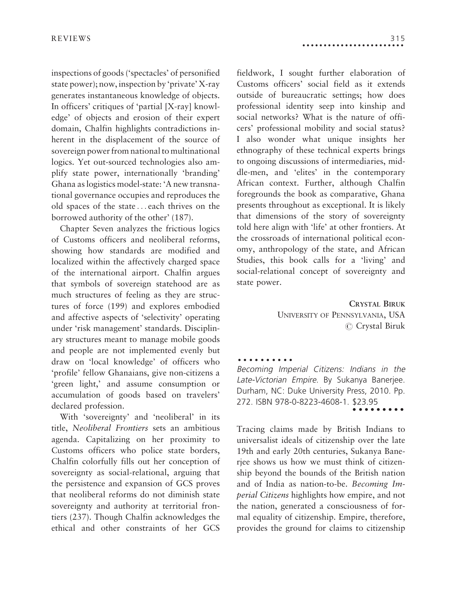inspections of goods ('spectacles' of personified state power); now, inspection by 'private' X-ray generates instantaneous knowledge of objects. In officers' critiques of 'partial [X-ray] knowledge' of objects and erosion of their expert domain, Chalfin highlights contradictions inherent in the displacement of the source of sovereign power from national to multinational logics. Yet out-sourced technologies also amplify state power, internationally 'branding' Ghana as logistics model-state: 'A new transnational governance occupies and reproduces the old spaces of the state ... each thrives on the borrowed authority of the other' (187).

Chapter Seven analyzes the frictious logics of Customs officers and neoliberal reforms, showing how standards are modified and localized within the affectively charged space of the international airport. Chalfin argues that symbols of sovereign statehood are as much structures of feeling as they are structures of force (199) and explores embodied and affective aspects of 'selectivity' operating under 'risk management' standards. Disciplinary structures meant to manage mobile goods and people are not implemented evenly but draw on 'local knowledge' of officers who 'profile' fellow Ghanaians, give non-citizens a 'green light,' and assume consumption or accumulation of goods based on travelers' declared profession.

With 'sovereignty' and 'neoliberal' in its title, Neoliberal Frontiers sets an ambitious agenda. Capitalizing on her proximity to Customs officers who police state borders, Chalfin colorfully fills out her conception of sovereignty as social-relational, arguing that the persistence and expansion of GCS proves that neoliberal reforms do not diminish state sovereignty and authority at territorial frontiers (237). Though Chalfin acknowledges the ethical and other constraints of her GCS

fieldwork, I sought further elaboration of Customs officers' social field as it extends outside of bureaucratic settings; how does professional identity seep into kinship and social networks? What is the nature of officers' professional mobility and social status? I also wonder what unique insights her ethnography of these technical experts brings to ongoing discussions of intermediaries, middle-men, and 'elites' in the contemporary African context. Further, although Chalfin foregrounds the book as comparative, Ghana presents throughout as exceptional. It is likely that dimensions of the story of sovereignty told here align with 'life' at other frontiers. At the crossroads of international political economy, anthropology of the state, and African Studies, this book calls for a 'living' and social-relational concept of sovereignty and state power.

> CRYSTAL BIRUK UNIVERSITY OF PENNSYLVANIA, USA © Crystal Biruk

.......... Becoming Imperial Citizens: Indians in the Late-Victorian Empire. By Sukanya Banerjee. Durham, NC: Duke University Press, 2010. Pp. 272. ISBN 978-0-8223-4608-1. \$23.95

Tracing claims made by British Indians to universalist ideals of citizenship over the late 19th and early 20th centuries, Sukanya Banerjee shows us how we must think of citizenship beyond the bounds of the British nation and of India as nation-to-be. Becoming Imperial Citizens highlights how empire, and not the nation, generated a consciousness of formal equality of citizenship. Empire, therefore, provides the ground for claims to citizenship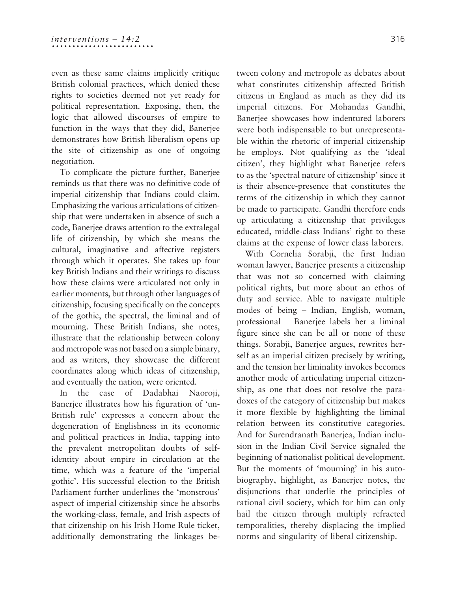even as these same claims implicitly critique British colonial practices, which denied these rights to societies deemed not yet ready for political representation. Exposing, then, the logic that allowed discourses of empire to function in the ways that they did, Banerjee demonstrates how British liberalism opens up the site of citizenship as one of ongoing negotiation.

To complicate the picture further, Banerjee reminds us that there was no definitive code of imperial citizenship that Indians could claim. Emphasizing the various articulations of citizenship that were undertaken in absence of such a code, Banerjee draws attention to the extralegal life of citizenship, by which she means the cultural, imaginative and affective registers through which it operates. She takes up four key British Indians and their writings to discuss how these claims were articulated not only in earlier moments, but through other languages of citizenship, focusing specifically on the concepts of the gothic, the spectral, the liminal and of mourning. These British Indians, she notes, illustrate that the relationship between colony and metropole was not based on a simple binary, and as writers, they showcase the different coordinates along which ideas of citizenship, and eventually the nation, were oriented.

In the case of Dadabhai Naoroji, Banerjee illustrates how his figuration of 'un-British rule' expresses a concern about the degeneration of Englishness in its economic and political practices in India, tapping into the prevalent metropolitan doubts of selfidentity about empire in circulation at the time, which was a feature of the 'imperial gothic'. His successful election to the British Parliament further underlines the 'monstrous' aspect of imperial citizenship since he absorbs the working-class, female, and Irish aspects of that citizenship on his Irish Home Rule ticket, additionally demonstrating the linkages between colony and metropole as debates about what constitutes citizenship affected British citizens in England as much as they did its imperial citizens. For Mohandas Gandhi, Banerjee showcases how indentured laborers were both indispensable to but unrepresentable within the rhetoric of imperial citizenship he employs. Not qualifying as the 'ideal citizen', they highlight what Banerjee refers to as the 'spectral nature of citizenship' since it is their absence-presence that constitutes the terms of the citizenship in which they cannot be made to participate. Gandhi therefore ends up articulating a citizenship that privileges educated, middle-class Indians' right to these claims at the expense of lower class laborers.

With Cornelia Sorabji, the first Indian woman lawyer, Banerjee presents a citizenship that was not so concerned with claiming political rights, but more about an ethos of duty and service. Able to navigate multiple modes of being - Indian, English, woman, professional Banerjee labels her a liminal figure since she can be all or none of these things. Sorabji, Banerjee argues, rewrites herself as an imperial citizen precisely by writing, and the tension her liminality invokes becomes another mode of articulating imperial citizenship, as one that does not resolve the paradoxes of the category of citizenship but makes it more flexible by highlighting the liminal relation between its constitutive categories. And for Surendranath Banerjea, Indian inclusion in the Indian Civil Service signaled the beginning of nationalist political development. But the moments of 'mourning' in his autobiography, highlight, as Banerjee notes, the disjunctions that underlie the principles of rational civil society, which for him can only hail the citizen through multiply refracted temporalities, thereby displacing the implied norms and singularity of liberal citizenship.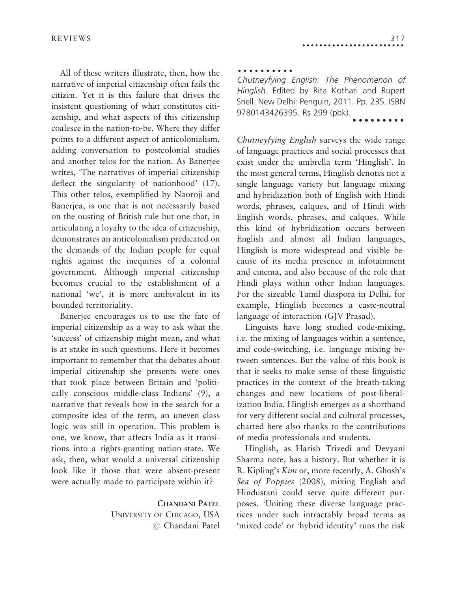All of these writers illustrate, then, how the narrative of imperial citizenship often fails the citizen. Yet it is this failure that drives the insistent questioning of what constitutes citizenship, and what aspects of this citizenship coalesce in the nation-to-be. Where they differ points to a different aspect of anticolonialism, adding conversation to postcolonial studies and another telos for the nation. As Banerjee writes, 'The narratives of imperial citizenship deflect the singularity of nationhood' (17). This other telos, exemplified by Naoroji and Banerjea, is one that is not necessarily based on the ousting of British rule but one that, in articulating a loyalty to the idea of citizenship, demonstrates an anticolonialism predicated on the demands of the Indian people for equal rights against the inequities of a colonial government. Although imperial citizenship becomes crucial to the establishment of a national 'we', it is more ambivalent in its bounded territoriality.

Banerjee encourages us to use the fate of imperial citizenship as a way to ask what the 'success' of citizenship might mean, and what is at stake in such questions. Here it becomes important to remember that the debates about imperial citizenship she presents were ones that took place between Britain and 'politically conscious middle-class Indians' (9), a narrative that reveals how in the search for a composite idea of the term, an uneven class logic was still in operation. This problem is one, we know, that affects India as it transitions into a rights-granting nation-state. We ask, then, what would a universal citizenship look like if those that were absent-present were actually made to participate within it?

> CHANDANI PATEL UNIVERSITY OF CHICAGO, USA  $\circ$  Chandani Patel

#### ..........

Chutneyfying English: The Phenomenon of Hinglish. Edited by Rita Kothari and Rupert Snell. New Delhi: Penguin, 2011. Pp. 235. ISBN 9780143426395. Rs 299 (pbk).

Chutneyfying English surveys the wide range of language practices and social processes that exist under the umbrella term 'Hinglish'. In the most general terms, Hinglish denotes not a single language variety but language mixing and hybridization both of English with Hindi words, phrases, calques, and of Hindi with English words, phrases, and calques. While this kind of hybridization occurs between English and almost all Indian languages, Hinglish is more widespread and visible because of its media presence in infotainment and cinema, and also because of the role that Hindi plays within other Indian languages. For the sizeable Tamil diaspora in Delhi, for example, Hinglish becomes a caste-neutral language of interaction (GJV Prasad).

Linguists have long studied code-mixing, i.e. the mixing of languages within a sentence, and code-switching, i.e. language mixing between sentences. But the value of this book is that it seeks to make sense of these linguistic practices in the context of the breath-taking changes and new locations of post-liberalization India. Hinglish emerges as a shorthand for very different social and cultural processes, charted here also thanks to the contributions of media professionals and students.

Hinglish, as Harish Trivedi and Devyani Sharma note, has a history. But whether it is R. Kipling's Kim or, more recently, A. Ghosh's Sea of Poppies (2008), mixing English and Hindustani could serve quite different purposes. 'Uniting these diverse language practices under such intractably broad terms as 'mixed code' or 'hybrid identity' runs the risk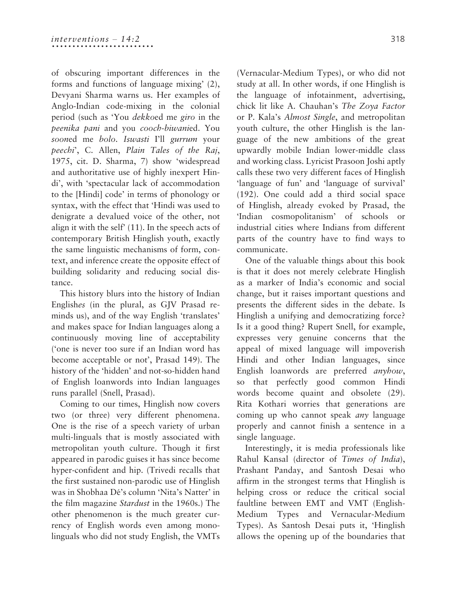of obscuring important differences in the forms and functions of language mixing' (2), Devyani Sharma warns us. Her examples of Anglo-Indian code-mixing in the colonial period (such as 'You dekkoed me giro in the peenika pani and you cooch-biwanied. You sooned me bolo. Iswasti I'll gurrum your peechi', C. Allen, Plain Tales of the Raj, 1975, cit. D. Sharma, 7) show 'widespread and authoritative use of highly inexpert Hindi', with 'spectacular lack of accommodation to the [Hindi] code' in terms of phonology or syntax, with the effect that 'Hindi was used to denigrate a devalued voice of the other, not align it with the self' (11). In the speech acts of contemporary British Hinglish youth, exactly the same linguistic mechanisms of form, context, and inference create the opposite effect of building solidarity and reducing social distance.

This history blurs into the history of Indian Englishes (in the plural, as GJV Prasad reminds us), and of the way English 'translates' and makes space for Indian languages along a continuously moving line of acceptability ('one is never too sure if an Indian word has become acceptable or not', Prasad 149). The history of the 'hidden' and not-so-hidden hand of English loanwords into Indian languages runs parallel (Snell, Prasad).

Coming to our times, Hinglish now covers two (or three) very different phenomena. One is the rise of a speech variety of urban multi-linguals that is mostly associated with metropolitan youth culture. Though it first appeared in parodic guises it has since become hyper-confident and hip. (Trivedi recalls that the first sustained non-parodic use of Hinglish was in Shobhaa Dé's column 'Nita's Natter' in the film magazine Stardust in the 1960s.) The other phenomenon is the much greater currency of English words even among monolinguals who did not study English, the VMTs

(Vernacular-Medium Types), or who did not study at all. In other words, if one Hinglish is the language of infotainment, advertising, chick lit like A. Chauhan's The Zoya Factor or P. Kala's Almost Single, and metropolitan youth culture, the other Hinglish is the language of the new ambitions of the great upwardly mobile Indian lower-middle class and working class. Lyricist Prasoon Joshi aptly calls these two very different faces of Hinglish 'language of fun' and 'language of survival' (192). One could add a third social space of Hinglish, already evoked by Prasad, the 'Indian cosmopolitanism' of schools or industrial cities where Indians from different parts of the country have to find ways to communicate.

One of the valuable things about this book is that it does not merely celebrate Hinglish as a marker of India's economic and social change, but it raises important questions and presents the different sides in the debate. Is Hinglish a unifying and democratizing force? Is it a good thing? Rupert Snell, for example, expresses very genuine concerns that the appeal of mixed language will impoverish Hindi and other Indian languages, since English loanwords are preferred anyhow, so that perfectly good common Hindi words become quaint and obsolete (29). Rita Kothari worries that generations are coming up who cannot speak any language properly and cannot finish a sentence in a single language.

Interestingly, it is media professionals like Rahul Kansal (director of Times of India), Prashant Panday, and Santosh Desai who affirm in the strongest terms that Hinglish is helping cross or reduce the critical social faultline between EMT and VMT (English-Medium Types and Vernacular-Medium Types). As Santosh Desai puts it, 'Hinglish allows the opening up of the boundaries that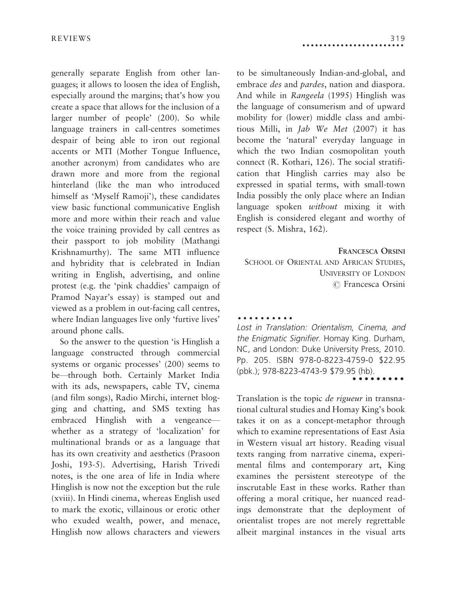generally separate English from other languages; it allows to loosen the idea of English, especially around the margins; that's how you create a space that allows for the inclusion of a larger number of people' (200). So while language trainers in call-centres sometimes despair of being able to iron out regional accents or MTI (Mother Tongue Influence, another acronym) from candidates who are drawn more and more from the regional hinterland (like the man who introduced himself as 'Myself Ramoji'), these candidates view basic functional communicative English more and more within their reach and value the voice training provided by call centres as their passport to job mobility (Mathangi Krishnamurthy). The same MTI influence and hybridity that is celebrated in Indian writing in English, advertising, and online protest (e.g. the 'pink chaddies' campaign of Pramod Nayar's essay) is stamped out and viewed as a problem in out-facing call centres, where Indian languages live only 'furtive lives' around phone calls.

So the answer to the question 'is Hinglish a language constructed through commercial systems or organic processes' (200) seems to be-through both. Certainly Market India with its ads, newspapers, cable TV, cinema (and film songs), Radio Mirchi, internet blogging and chatting, and SMS texting has embraced Hinglish with a vengeancewhether as a strategy of 'localization' for multinational brands or as a language that has its own creativity and aesthetics (Prasoon Joshi, 193-5). Advertising, Harish Trivedi notes, is the one area of life in India where Hinglish is now not the exception but the rule (xviii). In Hindi cinema, whereas English used to mark the exotic, villainous or erotic other who exuded wealth, power, and menace, Hinglish now allows characters and viewers

to be simultaneously Indian-and-global, and embrace des and pardes, nation and diaspora. And while in Rangeela (1995) Hinglish was the language of consumerism and of upward mobility for (lower) middle class and ambitious Milli, in Jab We Met (2007) it has become the 'natural' everyday language in which the two Indian cosmopolitan youth connect (R. Kothari, 126). The social stratification that Hinglish carries may also be expressed in spatial terms, with small-town India possibly the only place where an Indian language spoken *without* mixing it with English is considered elegant and worthy of respect (S. Mishra, 162).

FRANCESCA ORSINI SCHOOL OF ORIENTAL AND AFRICAN STUDIES, UNIVERSITY OF LONDON  $\circ$  Francesca Orsini

..........

Lost in Translation: Orientalism, Cinema, and the Enigmatic Signifier. Homay King. Durham, NC, and London: Duke University Press, 2010. Pp. 205. ISBN 978-0-8223-4759-0 \$22.95 (pbk.); 978-8223-4743-9 \$79.95 (hb).

Translation is the topic *de rigueur* in transnational cultural studies and Homay King's book takes it on as a concept-metaphor through which to examine representations of East Asia in Western visual art history. Reading visual texts ranging from narrative cinema, experimental films and contemporary art, King examines the persistent stereotype of the inscrutable East in these works. Rather than offering a moral critique, her nuanced readings demonstrate that the deployment of orientalist tropes are not merely regrettable albeit marginal instances in the visual arts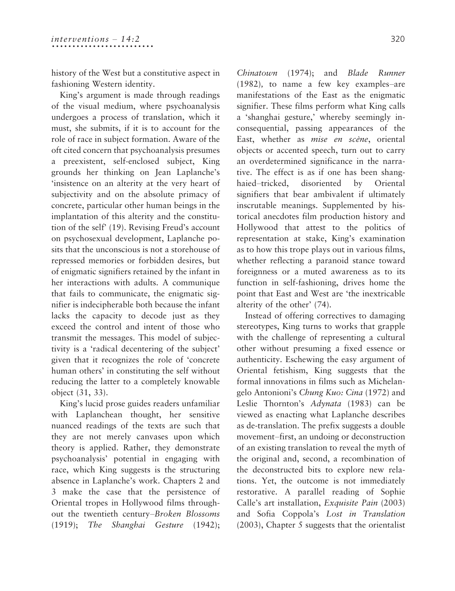history of the West but a constitutive aspect in fashioning Western identity.

King's argument is made through readings of the visual medium, where psychoanalysis undergoes a process of translation, which it must, she submits, if it is to account for the role of race in subject formation. Aware of the oft cited concern that psychoanalysis presumes a preexistent, self-enclosed subject, King grounds her thinking on Jean Laplanche's 'insistence on an alterity at the very heart of subjectivity and on the absolute primacy of concrete, particular other human beings in the implantation of this alterity and the constitution of the self' (19). Revising Freud's account on psychosexual development, Laplanche posits that the unconscious is not a storehouse of repressed memories or forbidden desires, but of enigmatic signifiers retained by the infant in her interactions with adults. A communique that fails to communicate, the enigmatic signifier is indecipherable both because the infant lacks the capacity to decode just as they exceed the control and intent of those who transmit the messages. This model of subjectivity is a 'radical decentering of the subject' given that it recognizes the role of 'concrete human others' in constituting the self without reducing the latter to a completely knowable object (31, 33).

King's lucid prose guides readers unfamiliar with Laplanchean thought, her sensitive nuanced readings of the texts are such that they are not merely canvases upon which theory is applied. Rather, they demonstrate psychoanalysis' potential in engaging with race, which King suggests is the structuring absence in Laplanche's work. Chapters 2 and 3 make the case that the persistence of Oriental tropes in Hollywood films throughout the twentieth century-Broken Blossoms (1919); The Shanghai Gesture (1942); Chinatown (1974); and Blade Runner  $(1982)$ , to name a few key examples–are manifestations of the East as the enigmatic signifier. These films perform what King calls a 'shanghai gesture,' whereby seemingly inconsequential, passing appearances of the East, whether as *mise en scène*, oriental objects or accented speech, turn out to carry an overdetermined significance in the narrative. The effect is as if one has been shanghaied-tricked, disoriented by Oriental signifiers that bear ambivalent if ultimately inscrutable meanings. Supplemented by historical anecdotes film production history and Hollywood that attest to the politics of representation at stake, King's examination as to how this trope plays out in various films, whether reflecting a paranoid stance toward foreignness or a muted awareness as to its function in self-fashioning, drives home the point that East and West are 'the inextricable alterity of the other' (74).

Instead of offering correctives to damaging stereotypes, King turns to works that grapple with the challenge of representing a cultural other without presuming a fixed essence or authenticity. Eschewing the easy argument of Oriental fetishism, King suggests that the formal innovations in films such as Michelangelo Antonioni's Chung Kuo: Cina (1972) and Leslie Thornton's Adynata (1983) can be viewed as enacting what Laplanche describes as de-translation. The prefix suggests a double movement-first, an undoing or deconstruction of an existing translation to reveal the myth of the original and, second, a recombination of the deconstructed bits to explore new relations. Yet, the outcome is not immediately restorative. A parallel reading of Sophie Calle's art installation, Exquisite Pain (2003) and Sofia Coppola's Lost in Translation (2003), Chapter 5 suggests that the orientalist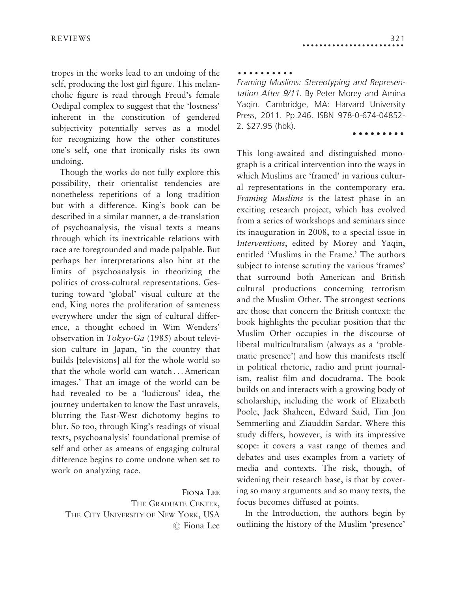tropes in the works lead to an undoing of the self, producing the lost girl figure. This melancholic figure is read through Freud's female Oedipal complex to suggest that the 'lostness' inherent in the constitution of gendered subjectivity potentially serves as a model for recognizing how the other constitutes one's self, one that ironically risks its own undoing.

Though the works do not fully explore this possibility, their orientalist tendencies are nonetheless repetitions of a long tradition but with a difference. King's book can be described in a similar manner, a de-translation of psychoanalysis, the visual texts a means through which its inextricable relations with race are foregrounded and made palpable. But perhaps her interpretations also hint at the limits of psychoanalysis in theorizing the politics of cross-cultural representations. Gesturing toward 'global' visual culture at the end, King notes the proliferation of sameness everywhere under the sign of cultural difference, a thought echoed in Wim Wenders' observation in Tokyo-Ga (1985) about television culture in Japan, 'in the country that builds [televisions] all for the whole world so that the whole world can watch ... American images.' That an image of the world can be had revealed to be a 'ludicrous' idea, the journey undertaken to know the East unravels, blurring the East-West dichotomy begins to blur. So too, through King's readings of visual texts, psychoanalysis' foundational premise of self and other as ameans of engaging cultural difference begins to come undone when set to work on analyzing race.

### FIONA LEE

THE GRADUATE CENTER, THE CITY UNIVERSITY OF NEW YORK, USA  $\circ$  Fiona Lee

# ..........

Framing Muslims: Stereotyping and Representation After 9/11. By Peter Morey and Amina Yaqin. Cambridge, MA: Harvard University Press, 2011. Pp.246. ISBN 978-0-674-04852- 2. \$27.95 (hbk). .........

This long-awaited and distinguished monograph is a critical intervention into the ways in which Muslims are 'framed' in various cultural representations in the contemporary era. Framing Muslims is the latest phase in an exciting research project, which has evolved from a series of workshops and seminars since its inauguration in 2008, to a special issue in Interventions, edited by Morey and Yaqin, entitled 'Muslims in the Frame.' The authors subject to intense scrutiny the various 'frames' that surround both American and British cultural productions concerning terrorism and the Muslim Other. The strongest sections are those that concern the British context: the book highlights the peculiar position that the Muslim Other occupies in the discourse of liberal multiculturalism (always as a 'problematic presence') and how this manifests itself in political rhetoric, radio and print journalism, realist film and docudrama. The book builds on and interacts with a growing body of scholarship, including the work of Elizabeth Poole, Jack Shaheen, Edward Said, Tim Jon Semmerling and Ziauddin Sardar. Where this study differs, however, is with its impressive scope: it covers a vast range of themes and debates and uses examples from a variety of media and contexts. The risk, though, of widening their research base, is that by covering so many arguments and so many texts, the focus becomes diffused at points.

In the Introduction, the authors begin by outlining the history of the Muslim 'presence'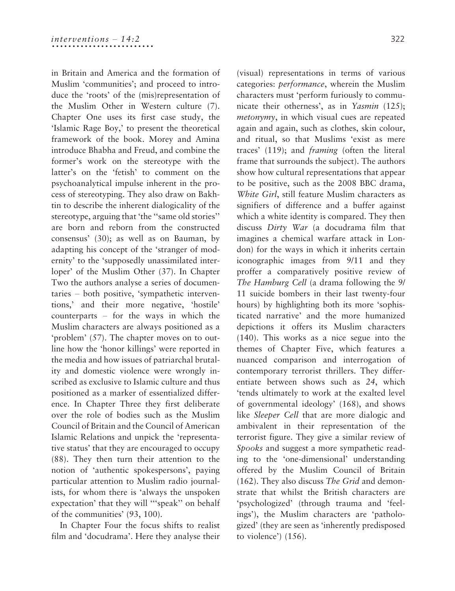in Britain and America and the formation of Muslim 'communities'; and proceed to introduce the 'roots' of the (mis)representation of the Muslim Other in Western culture (7). Chapter One uses its first case study, the 'Islamic Rage Boy,' to present the theoretical framework of the book. Morey and Amina introduce Bhabha and Freud, and combine the former's work on the stereotype with the latter's on the 'fetish' to comment on the psychoanalytical impulse inherent in the process of stereotyping. They also draw on Bakhtin to describe the inherent dialogicality of the stereotype, arguing that 'the ''same old stories'' are born and reborn from the constructed consensus' (30); as well as on Bauman, by adapting his concept of the 'stranger of modernity' to the 'supposedly unassimilated interloper' of the Muslim Other (37). In Chapter Two the authors analyse a series of documentaries - both positive, 'sympathetic interventions,' and their more negative, 'hostile' counterparts  $-$  for the ways in which the Muslim characters are always positioned as a 'problem' (57). The chapter moves on to outline how the 'honor killings' were reported in the media and how issues of patriarchal brutality and domestic violence were wrongly inscribed as exclusive to Islamic culture and thus positioned as a marker of essentialized difference. In Chapter Three they first deliberate over the role of bodies such as the Muslim Council of Britain and the Council of American Islamic Relations and unpick the 'representative status' that they are encouraged to occupy (88). They then turn their attention to the notion of 'authentic spokespersons', paying particular attention to Muslim radio journalists, for whom there is 'always the unspoken expectation' that they will "'speak" on behalf of the communities' (93, 100).

In Chapter Four the focus shifts to realist film and 'docudrama'. Here they analyse their (visual) representations in terms of various categories: performance, wherein the Muslim characters must 'perform furiously to communicate their otherness', as in Yasmin (125); metonymy, in which visual cues are repeated again and again, such as clothes, skin colour, and ritual, so that Muslims 'exist as mere traces' (119); and framing (often the literal frame that surrounds the subject). The authors show how cultural representations that appear to be positive, such as the 2008 BBC drama, White Girl, still feature Muslim characters as signifiers of difference and a buffer against which a white identity is compared. They then discuss Dirty War (a docudrama film that imagines a chemical warfare attack in London) for the ways in which it inherits certain iconographic images from 9/11 and they proffer a comparatively positive review of The Hamburg Cell (a drama following the 9/ 11 suicide bombers in their last twenty-four hours) by highlighting both its more 'sophisticated narrative' and the more humanized depictions it offers its Muslim characters (140). This works as a nice segue into the themes of Chapter Five, which features a nuanced comparison and interrogation of contemporary terrorist thrillers. They differentiate between shows such as 24, which 'tends ultimately to work at the exalted level of governmental ideology' (168), and shows like Sleeper Cell that are more dialogic and ambivalent in their representation of the terrorist figure. They give a similar review of Spooks and suggest a more sympathetic reading to the 'one-dimensional' understanding offered by the Muslim Council of Britain (162). They also discuss The Grid and demonstrate that whilst the British characters are 'psychologized' (through trauma and 'feelings'), the Muslim characters are 'pathologized' (they are seen as 'inherently predisposed to violence') (156).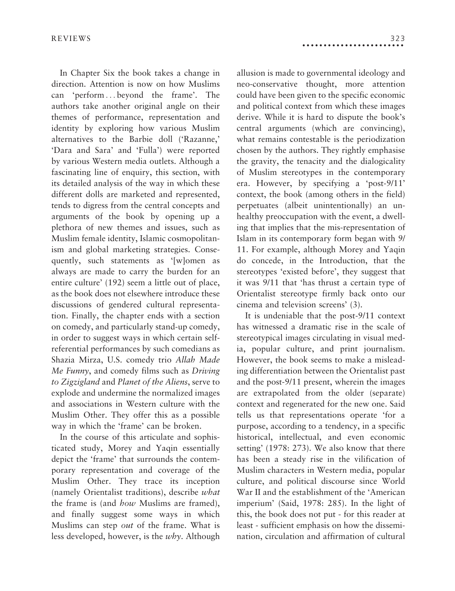In Chapter Six the book takes a change in direction. Attention is now on how Muslims can 'perform ... beyond the frame'. The authors take another original angle on their themes of performance, representation and identity by exploring how various Muslim alternatives to the Barbie doll ('Razanne,' 'Dara and Sara' and 'Fulla') were reported by various Western media outlets. Although a fascinating line of enquiry, this section, with its detailed analysis of the way in which these different dolls are marketed and represented, tends to digress from the central concepts and arguments of the book by opening up a plethora of new themes and issues, such as Muslim female identity, Islamic cosmopolitanism and global marketing strategies. Consequently, such statements as '[w]omen as always are made to carry the burden for an entire culture' (192) seem a little out of place, as the book does not elsewhere introduce these discussions of gendered cultural representation. Finally, the chapter ends with a section on comedy, and particularly stand-up comedy, in order to suggest ways in which certain selfreferential performances by such comedians as Shazia Mirza, U.S. comedy trio Allah Made Me Funny, and comedy films such as Driving to Zigzigland and Planet of the Aliens, serve to explode and undermine the normalized images and associations in Western culture with the Muslim Other. They offer this as a possible way in which the 'frame' can be broken.

In the course of this articulate and sophisticated study, Morey and Yaqin essentially depict the 'frame' that surrounds the contemporary representation and coverage of the Muslim Other. They trace its inception (namely Orientalist traditions), describe what the frame is (and  $how$  Muslims are framed), and finally suggest some ways in which Muslims can step out of the frame. What is less developed, however, is the why. Although

REVIEWS 323

allusion is made to governmental ideology and neo-conservative thought, more attention could have been given to the specific economic and political context from which these images derive. While it is hard to dispute the book's central arguments (which are convincing), what remains contestable is the periodization chosen by the authors. They rightly emphasise the gravity, the tenacity and the dialogicality of Muslim stereotypes in the contemporary era. However, by specifying a 'post-9/11' context, the book (among others in the field) perpetuates (albeit unintentionally) an unhealthy preoccupation with the event, a dwelling that implies that the mis-representation of Islam in its contemporary form began with 9/ 11. For example, although Morey and Yaqin do concede, in the Introduction, that the stereotypes 'existed before', they suggest that it was 9/11 that 'has thrust a certain type of Orientalist stereotype firmly back onto our cinema and television screens' (3).

It is undeniable that the post-9/11 context has witnessed a dramatic rise in the scale of stereotypical images circulating in visual media, popular culture, and print journalism. However, the book seems to make a misleading differentiation between the Orientalist past and the post-9/11 present, wherein the images are extrapolated from the older (separate) context and regenerated for the new one. Said tells us that representations operate 'for a purpose, according to a tendency, in a specific historical, intellectual, and even economic setting' (1978: 273). We also know that there has been a steady rise in the vilification of Muslim characters in Western media, popular culture, and political discourse since World War II and the establishment of the 'American imperium' (Said, 1978: 285). In the light of this, the book does not put - for this reader at least - sufficient emphasis on how the dissemination, circulation and affirmation of cultural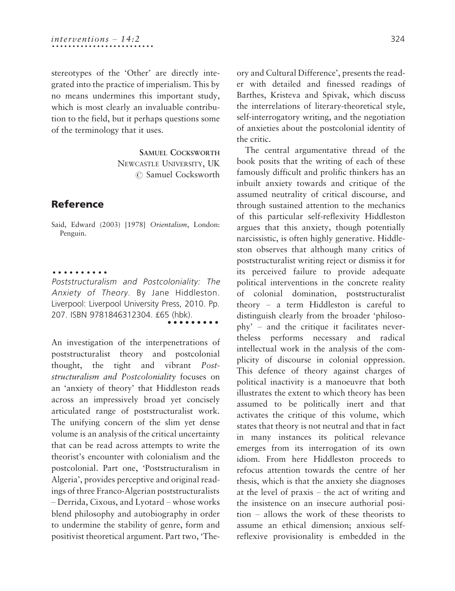stereotypes of the 'Other' are directly integrated into the practice of imperialism. This by no means undermines this important study, which is most clearly an invaluable contribution to the field, but it perhaps questions some of the terminology that it uses.

> SAMUEL COCKSWORTH NEWCASTLE UNIVERSITY, UK  $\odot$  Samuel Cocksworth

# Reference

Said, Edward (2003) [1978] Orientalism, London: Penguin.

#### ..........

Poststructuralism and Postcoloniality: The Anxiety of Theory. By Jane Hiddleston. Liverpool: Liverpool University Press, 2010. Pp. 207. ISBN 9781846312304. £65 (hbk).

An investigation of the interpenetrations of poststructuralist theory and postcolonial thought, the tight and vibrant Poststructuralism and Postcoloniality focuses on an 'anxiety of theory' that Hiddleston reads across an impressively broad yet concisely articulated range of poststructuralist work. The unifying concern of the slim yet dense volume is an analysis of the critical uncertainty that can be read across attempts to write the theorist's encounter with colonialism and the postcolonial. Part one, 'Poststructuralism in Algeria', provides perceptive and original readings of three Franco-Algerian poststructuralists - Derrida, Cixous, and Lyotard - whose works blend philosophy and autobiography in order to undermine the stability of genre, form and positivist theoretical argument. Part two, 'Theory and Cultural Difference', presents the reader with detailed and finessed readings of Barthes, Kristeva and Spivak, which discuss the interrelations of literary-theoretical style, self-interrogatory writing, and the negotiation of anxieties about the postcolonial identity of the critic.

The central argumentative thread of the book posits that the writing of each of these famously difficult and prolific thinkers has an inbuilt anxiety towards and critique of the assumed neutrality of critical discourse, and through sustained attention to the mechanics of this particular self-reflexivity Hiddleston argues that this anxiety, though potentially narcissistic, is often highly generative. Hiddleston observes that although many critics of poststructuralist writing reject or dismiss it for its perceived failure to provide adequate political interventions in the concrete reality of colonial domination, poststructuralist theory  $-$  a term Hiddleston is careful to distinguish clearly from the broader 'philoso $phy'$  – and the critique it facilitates nevertheless performs necessary and radical intellectual work in the analysis of the complicity of discourse in colonial oppression. This defence of theory against charges of political inactivity is a manoeuvre that both illustrates the extent to which theory has been assumed to be politically inert and that activates the critique of this volume, which states that theory is not neutral and that in fact in many instances its political relevance emerges from its interrogation of its own idiom. From here Hiddleston proceeds to refocus attention towards the centre of her thesis, which is that the anxiety she diagnoses at the level of praxis  $-$  the act of writing and the insistence on an insecure authorial posi $tion - allows the work of these theorists to$ assume an ethical dimension; anxious selfreflexive provisionality is embedded in the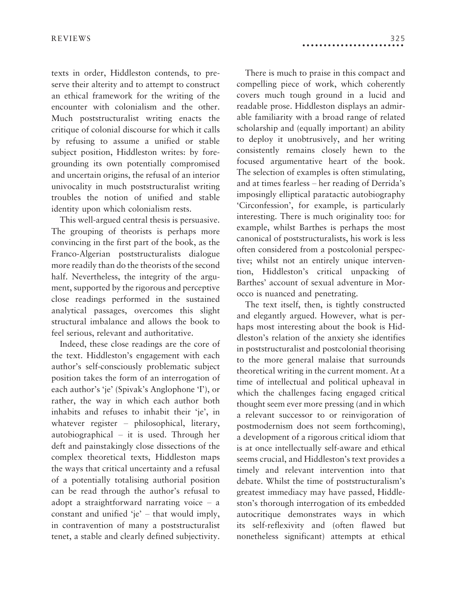texts in order, Hiddleston contends, to preserve their alterity and to attempt to construct an ethical framework for the writing of the encounter with colonialism and the other. Much poststructuralist writing enacts the critique of colonial discourse for which it calls by refusing to assume a unified or stable subject position, Hiddleston writes: by foregrounding its own potentially compromised and uncertain origins, the refusal of an interior univocality in much poststructuralist writing troubles the notion of unified and stable identity upon which colonialism rests.

This well-argued central thesis is persuasive. The grouping of theorists is perhaps more convincing in the first part of the book, as the Franco-Algerian poststructuralists dialogue more readily than do the theorists of the second half. Nevertheless, the integrity of the argument, supported by the rigorous and perceptive close readings performed in the sustained analytical passages, overcomes this slight structural imbalance and allows the book to feel serious, relevant and authoritative.

Indeed, these close readings are the core of the text. Hiddleston's engagement with each author's self-consciously problematic subject position takes the form of an interrogation of each author's 'je' (Spivak's Anglophone 'I'), or rather, the way in which each author both inhabits and refuses to inhabit their 'je', in whatever register  $-$  philosophical, literary, autobiographical  $-$  it is used. Through her deft and painstakingly close dissections of the complex theoretical texts, Hiddleston maps the ways that critical uncertainty and a refusal of a potentially totalising authorial position can be read through the author's refusal to adopt a straightforward narrating voice  $-$  a constant and unified 'je'  $-$  that would imply, in contravention of many a poststructuralist tenet, a stable and clearly defined subjectivity.

There is much to praise in this compact and compelling piece of work, which coherently covers much tough ground in a lucid and readable prose. Hiddleston displays an admirable familiarity with a broad range of related scholarship and (equally important) an ability to deploy it unobtrusively, and her writing consistently remains closely hewn to the focused argumentative heart of the book. The selection of examples is often stimulating, and at times fearless - her reading of Derrida's imposingly elliptical paratactic autobiography 'Circonfession', for example, is particularly interesting. There is much originality too: for example, whilst Barthes is perhaps the most canonical of poststructuralists, his work is less often considered from a postcolonial perspective; whilst not an entirely unique intervention, Hiddleston's critical unpacking of Barthes' account of sexual adventure in Morocco is nuanced and penetrating.

The text itself, then, is tightly constructed and elegantly argued. However, what is perhaps most interesting about the book is Hiddleston's relation of the anxiety she identifies in poststructuralist and postcolonial theorising to the more general malaise that surrounds theoretical writing in the current moment. At a time of intellectual and political upheaval in which the challenges facing engaged critical thought seem ever more pressing (and in which a relevant successor to or reinvigoration of postmodernism does not seem forthcoming), a development of a rigorous critical idiom that is at once intellectually self-aware and ethical seems crucial, and Hiddleston's text provides a timely and relevant intervention into that debate. Whilst the time of poststructuralism's greatest immediacy may have passed, Hiddleston's thorough interrogation of its embedded autocritique demonstrates ways in which its self-reflexivity and (often flawed but nonetheless significant) attempts at ethical